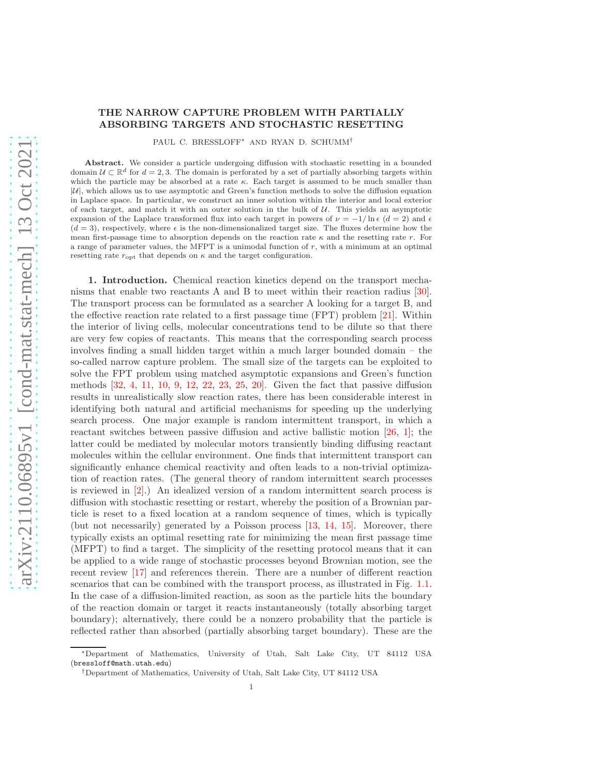## THE NARROW CAPTURE PROBLEM WITH PARTIALLY ABSORBING TARGETS AND STOCHASTIC RESETTING

PAUL C. BRESSLOFF<sup>∗</sup> AND RYAN D. SCHUMM†

Abstract. We consider a particle undergoing diffusion with stochastic resetting in a bounded domain  $\mathcal{U} \subset \mathbb{R}^d$  for  $d = 2, 3$ . The domain is perforated by a set of partially absorbing targets within which the particle may be absorbed at a rate  $\kappa$ . Each target is assumed to be much smaller than  $|\mathcal{U}|$ , which allows us to use asymptotic and Green's function methods to solve the diffusion equation in Laplace space. In particular, we construct an inner solution within the interior and local exterior of each target, and match it with an outer solution in the bulk of  $U$ . This yields an asymptotic expansion of the Laplace transformed flux into each target in powers of  $\nu = -1/\ln \epsilon$  (d = 2) and  $\epsilon$  $(d = 3)$ , respectively, where  $\epsilon$  is the non-dimensionalized target size. The fluxes determine how the mean first-passage time to absorption depends on the reaction rate  $\kappa$  and the resetting rate r. For a range of parameter values, the MFPT is a unimodal function of  $r$ , with a minimum at an optimal resetting rate  $r_{\text{opt}}$  that depends on  $\kappa$  and the target configuration.

1. Introduction. Chemical reaction kinetics depend on the transport mechanisms that enable two reactants A and B to meet within their reaction radius [\[30\]](#page-20-0). The transport process can be formulated as a searcher A looking for a target B, and the effective reaction rate related to a first passage time (FPT) problem [\[21\]](#page-19-0). Within the interior of living cells, molecular concentrations tend to be dilute so that there are very few copies of reactants. This means that the corresponding search process involves finding a small hidden target within a much larger bounded domain – the so-called narrow capture problem. The small size of the targets can be exploited to solve the FPT problem using matched asymptotic expansions and Green's function methods [\[32,](#page-20-1) [4,](#page-19-1) [11,](#page-19-2) [10,](#page-19-3) [9,](#page-19-4) [12,](#page-19-5) [22,](#page-19-6) [23,](#page-19-7) [25,](#page-19-8) [20\]](#page-19-9). Given the fact that passive diffusion results in unrealistically slow reaction rates, there has been considerable interest in identifying both natural and artificial mechanisms for speeding up the underlying search process. One major example is random intermittent transport, in which a reactant switches between passive diffusion and active ballistic motion [\[26,](#page-20-2) [1\]](#page-19-10); the latter could be mediated by molecular motors transiently binding diffusing reactant molecules within the cellular environment. One finds that intermittent transport can significantly enhance chemical reactivity and often leads to a non-trivial optimization of reaction rates. (The general theory of random intermittent search processes is reviewed in [\[2\]](#page-19-11).) An idealized version of a random intermittent search process is diffusion with stochastic resetting or restart, whereby the position of a Brownian particle is reset to a fixed location at a random sequence of times, which is typically (but not necessarily) generated by a Poisson process [\[13,](#page-19-12) [14,](#page-19-13) [15\]](#page-19-14). Moreover, there typically exists an optimal resetting rate for minimizing the mean first passage time (MFPT) to find a target. The simplicity of the resetting protocol means that it can be applied to a wide range of stochastic processes beyond Brownian motion, see the recent review [\[17\]](#page-19-15) and references therein. There are a number of different reaction scenarios that can be combined with the transport process, as illustrated in Fig. [1.1.](#page-16-0) In the case of a diffusion-limited reaction, as soon as the particle hits the boundary of the reaction domain or target it reacts instantaneously (totally absorbing target boundary); alternatively, there could be a nonzero probability that the particle is reflected rather than absorbed (partially absorbing target boundary). These are the

<sup>∗</sup>Department of Mathematics, University of Utah, Salt Lake City, UT 84112 USA (bressloff@math.utah.edu)

<sup>†</sup>Department of Mathematics, University of Utah, Salt Lake City, UT 84112 USA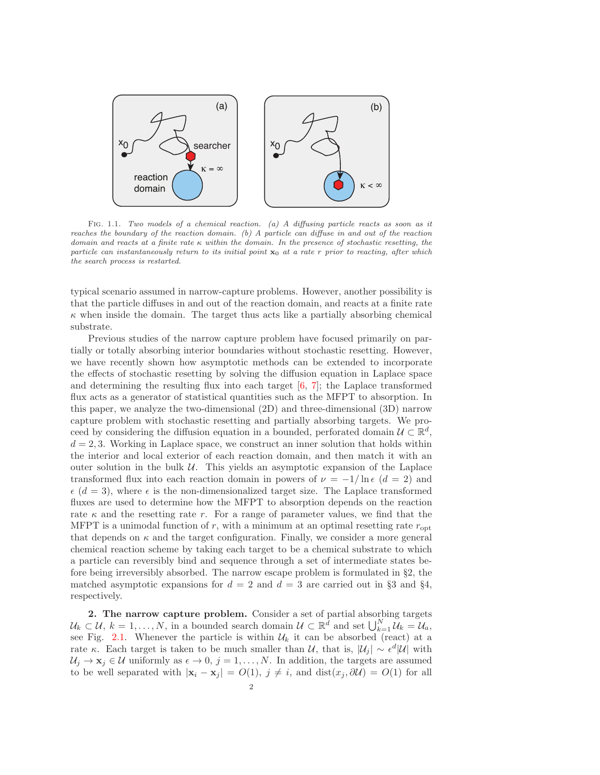

FIG. 1.1. Two models of a chemical reaction. (a) A diffusing particle reacts as soon as it reaches the boundary of the reaction domain. (b) A particle can diffuse in and out of the reaction domain and reacts at a finite rate κ within the domain. In the presence of stochastic resetting, the particle can instantaneously return to its initial point  $x_0$  at a rate r prior to reacting, after which the search process is restarted.

typical scenario assumed in narrow-capture problems. However, another possibility is that the particle diffuses in and out of the reaction domain, and reacts at a finite rate  $\kappa$  when inside the domain. The target thus acts like a partially absorbing chemical substrate.

Previous studies of the narrow capture problem have focused primarily on partially or totally absorbing interior boundaries without stochastic resetting. However, we have recently shown how asymptotic methods can be extended to incorporate the effects of stochastic resetting by solving the diffusion equation in Laplace space and determining the resulting flux into each target  $[6, 7]$  $[6, 7]$ ; the Laplace transformed flux acts as a generator of statistical quantities such as the MFPT to absorption. In this paper, we analyze the two-dimensional (2D) and three-dimensional (3D) narrow capture problem with stochastic resetting and partially absorbing targets. We proceed by considering the diffusion equation in a bounded, perforated domain  $\mathcal{U} \subset \mathbb{R}^d$ ,  $d = 2, 3$ . Working in Laplace space, we construct an inner solution that holds within the interior and local exterior of each reaction domain, and then match it with an outer solution in the bulk  $\mathcal U$ . This yields an asymptotic expansion of the Laplace transformed flux into each reaction domain in powers of  $\nu = -1/\ln \epsilon$  ( $d = 2$ ) and  $\epsilon$  (d = 3), where  $\epsilon$  is the non-dimensionalized target size. The Laplace transformed fluxes are used to determine how the MFPT to absorption depends on the reaction rate  $\kappa$  and the resetting rate r. For a range of parameter values, we find that the MFPT is a unimodal function of  $r$ , with a minimum at an optimal resetting rate  $r_{\rm opt}$ that depends on  $\kappa$  and the target configuration. Finally, we consider a more general chemical reaction scheme by taking each target to be a chemical substrate to which a particle can reversibly bind and sequence through a set of intermediate states before being irreversibly absorbed. The narrow escape problem is formulated in §2, the matched asymptotic expansions for  $d = 2$  and  $d = 3$  are carried out in §3 and §4, respectively.

2. The narrow capture problem. Consider a set of partial absorbing targets  $\mathcal{U}_k \subset \mathcal{U}, k = 1, \ldots, N$ , in a bounded search domain  $\mathcal{U} \subset \mathbb{R}^d$  and set  $\bigcup_{k=1}^N \mathcal{U}_k = \mathcal{U}_a$ , see Fig. [2.1.](#page-16-0) Whenever the particle is within  $\mathcal{U}_k$  it can be absorbed (react) at a rate κ. Each target is taken to be much smaller than  $U$ , that is,  $|U_j| \sim \epsilon^d |U|$  with  $U_j \to \mathbf{x}_j \in \mathcal{U}$  uniformly as  $\epsilon \to 0$ ,  $j = 1, \ldots, N$ . In addition, the targets are assumed to be well separated with  $|\mathbf{x}_i - \mathbf{x}_j| = O(1)$ ,  $j \neq i$ , and  $dist(x_j, \partial \mathcal{U}) = O(1)$  for all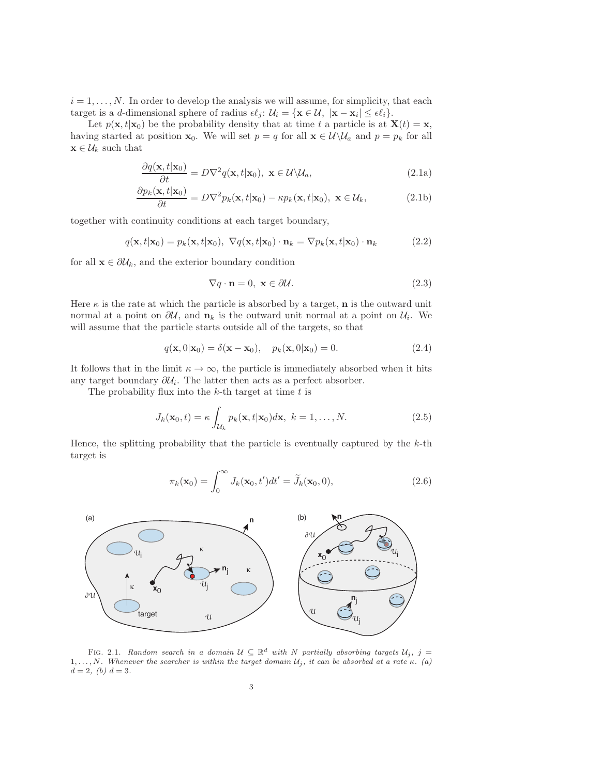$i = 1, \ldots, N$ . In order to develop the analysis we will assume, for simplicity, that each target is a *d*-dimensional sphere of radius  $\epsilon \ell_j$ :  $\mathcal{U}_i = {\mathbf{x} \in \mathcal{U}, | \mathbf{x} - \mathbf{x}_i | \leq \epsilon \ell_i}.$ 

Let  $p(\mathbf{x}, t|\mathbf{x}_0)$  be the probability density that at time t a particle is at  $\mathbf{X}(t) = \mathbf{x}$ , having started at position  $\mathbf{x}_0$ . We will set  $p = q$  for all  $\mathbf{x} \in \mathcal{U} \setminus \mathcal{U}_a$  and  $p = p_k$  for all  $\mathbf{x} \in \mathcal{U}_k$  such that

<span id="page-2-0"></span>
$$
\frac{\partial q(\mathbf{x}, t | \mathbf{x}_0)}{\partial t} = D \nabla^2 q(\mathbf{x}, t | \mathbf{x}_0), \ \mathbf{x} \in \mathcal{U} \backslash \mathcal{U}_a,\tag{2.1a}
$$

$$
\frac{\partial p_k(\mathbf{x}, t | \mathbf{x}_0)}{\partial t} = D \nabla^2 p_k(\mathbf{x}, t | \mathbf{x}_0) - \kappa p_k(\mathbf{x}, t | \mathbf{x}_0), \ \mathbf{x} \in \mathcal{U}_k,\tag{2.1b}
$$

together with continuity conditions at each target boundary,

<span id="page-2-1"></span>
$$
q(\mathbf{x}, t | \mathbf{x}_0) = p_k(\mathbf{x}, t | \mathbf{x}_0), \ \nabla q(\mathbf{x}, t | \mathbf{x}_0) \cdot \mathbf{n}_k = \nabla p_k(\mathbf{x}, t | \mathbf{x}_0) \cdot \mathbf{n}_k \tag{2.2}
$$

for all  $\mathbf{x} \in \partial \mathcal{U}_k$ , and the exterior boundary condition

$$
\nabla q \cdot \mathbf{n} = 0, \ \mathbf{x} \in \partial \mathcal{U}.\tag{2.3}
$$

Here  $\kappa$  is the rate at which the particle is absorbed by a target, **n** is the outward unit normal at a point on  $\partial U$ , and  $n_k$  is the outward unit normal at a point on  $U_i$ . We will assume that the particle starts outside all of the targets, so that

$$
q(\mathbf{x},0|\mathbf{x}_0) = \delta(\mathbf{x} - \mathbf{x}_0), \quad p_k(\mathbf{x},0|\mathbf{x}_0) = 0.
$$
 (2.4)

It follows that in the limit  $\kappa \to \infty$ , the particle is immediately absorbed when it hits any target boundary  $\partial \mathcal{U}_i$ . The latter then acts as a perfect absorber.

The probability flux into the  $k$ -th target at time  $t$  is

$$
J_k(\mathbf{x}_0, t) = \kappa \int_{\mathcal{U}_k} p_k(\mathbf{x}, t | \mathbf{x}_0) d\mathbf{x}, \ k = 1, \dots, N.
$$
 (2.5)

Hence, the splitting probability that the particle is eventually captured by the  $k$ -th target is

$$
\pi_k(\mathbf{x}_0) = \int_0^\infty J_k(\mathbf{x}_0, t')dt' = \widetilde{J}_k(\mathbf{x}_0, 0),\tag{2.6}
$$



FIG. 2.1. Random search in a domain  $\mathcal{U} \subseteq \mathbb{R}^d$  with N partially absorbing targets  $\mathcal{U}_j$ ,  $j =$ 1, ..., N. Whenever the searcher is within the target domain  $\mathcal{U}_j$ , it can be absorbed at a rate κ. (a)  $d = 2, (b) d = 3.$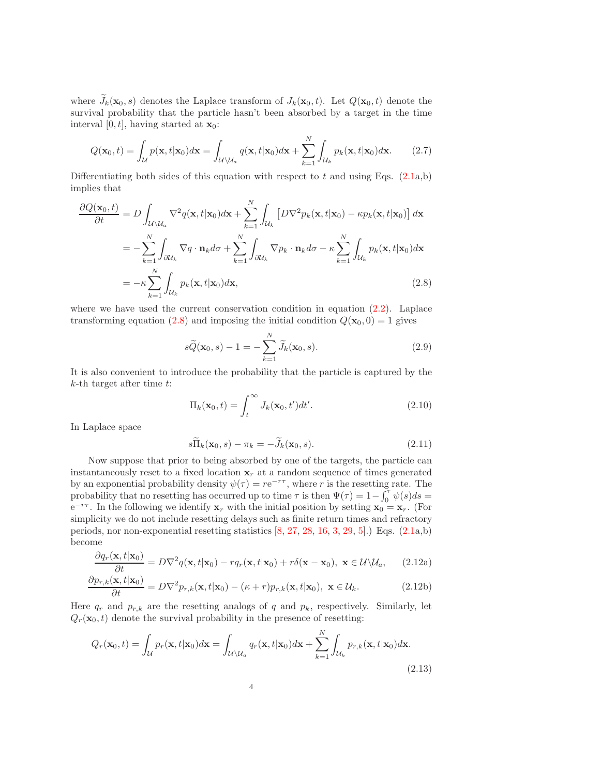where  $\widetilde{J}_k(\mathbf{x}_0, s)$  denotes the Laplace transform of  $J_k(\mathbf{x}_0, t)$ . Let  $Q(\mathbf{x}_0, t)$  denote the survival probability that the particle hasn't been absorbed by a target in the time interval [0, t], having started at  $\mathbf{x}_0$ :

$$
Q(\mathbf{x}_0, t) = \int_{\mathcal{U}} p(\mathbf{x}, t | \mathbf{x}_0) d\mathbf{x} = \int_{\mathcal{U} \backslash \mathcal{U}_a} q(\mathbf{x}, t | \mathbf{x}_0) d\mathbf{x} + \sum_{k=1}^N \int_{\mathcal{U}_k} p_k(\mathbf{x}, t | \mathbf{x}_0) d\mathbf{x}.
$$
 (2.7)

Differentiating both sides of this equation with respect to t and using Eqs.  $(2.1a,b)$ implies that

$$
\frac{\partial Q(\mathbf{x}_0, t)}{\partial t} = D \int_{\mathcal{U} \backslash \mathcal{U}_a} \nabla^2 q(\mathbf{x}, t | \mathbf{x}_0) d\mathbf{x} + \sum_{k=1}^N \int_{\mathcal{U}_k} \left[ D \nabla^2 p_k(\mathbf{x}, t | \mathbf{x}_0) - \kappa p_k(\mathbf{x}, t | \mathbf{x}_0) \right] d\mathbf{x}
$$
  
\n
$$
= - \sum_{k=1}^N \int_{\partial \mathcal{U}_k} \nabla q \cdot \mathbf{n}_k d\sigma + \sum_{k=1}^N \int_{\partial \mathcal{U}_k} \nabla p_k \cdot \mathbf{n}_k d\sigma - \kappa \sum_{k=1}^N \int_{\mathcal{U}_k} p_k(\mathbf{x}, t | \mathbf{x}_0) d\mathbf{x}
$$
  
\n
$$
= -\kappa \sum_{k=1}^N \int_{\mathcal{U}_k} p_k(\mathbf{x}, t | \mathbf{x}_0) d\mathbf{x},
$$
\n(2.8)

where we have used the current conservation condition in equation  $(2.2)$ . Laplace transforming equation [\(2.8\)](#page-3-0) and imposing the initial condition  $Q(\mathbf{x}_0, 0) = 1$  gives

<span id="page-3-1"></span><span id="page-3-0"></span>
$$
s\widetilde{Q}(\mathbf{x}_0, s) - 1 = -\sum_{k=1}^{N} \widetilde{J}_k(\mathbf{x}_0, s).
$$
 (2.9)

It is also convenient to introduce the probability that the particle is captured by the  $k$ -th target after time  $t$ :

$$
\Pi_k(\mathbf{x}_0, t) = \int_t^\infty J_k(\mathbf{x}_0, t')dt'.
$$
\n(2.10)

In Laplace space

<span id="page-3-2"></span>
$$
s\overline{\Pi}_k(\mathbf{x}_0,s) - \pi_k = -\widetilde{J}_k(\mathbf{x}_0,s). \tag{2.11}
$$

Now suppose that prior to being absorbed by one of the targets, the particle can instantaneously reset to a fixed location  $\mathbf{x}_r$  at a random sequence of times generated by an exponential probability density  $\psi(\tau) = re^{-r\tau}$ , where r is the resetting rate. The probability that no resetting has occurred up to time  $\tau$  is then  $\Psi(\tau) = 1 - \int_0^{\tau} \psi(s) ds =$  $e^{-r\tau}$ . In the following we identify  $x_r$  with the initial position by setting  $x_0 = x_r$ . (For simplicity we do not include resetting delays such as finite return times and refractory periods, nor non-exponential resetting statistics  $[8, 27, 28, 16, 3, 29, 5]$  $[8, 27, 28, 16, 3, 29, 5]$  $[8, 27, 28, 16, 3, 29, 5]$  $[8, 27, 28, 16, 3, 29, 5]$  $[8, 27, 28, 16, 3, 29, 5]$  $[8, 27, 28, 16, 3, 29, 5]$  $[8, 27, 28, 16, 3, 29, 5]$  $[8, 27, 28, 16, 3, 29, 5]$  $[8, 27, 28, 16, 3, 29, 5]$  $[8, 27, 28, 16, 3, 29, 5]$  $[8, 27, 28, 16, 3, 29, 5]$  $[8, 27, 28, 16, 3, 29, 5]$ .) Eqs.  $(2.1a,b)$ become

$$
\frac{\partial q_r(\mathbf{x},t|\mathbf{x}_0)}{\partial t} = D\nabla^2 q(\mathbf{x},t|\mathbf{x}_0) - r q_r(\mathbf{x},t|\mathbf{x}_0) + r \delta(\mathbf{x} - \mathbf{x}_0), \ \mathbf{x} \in \mathcal{U} \backslash \mathcal{U}_a, \qquad (2.12a)
$$

$$
\frac{\partial p_{r,k}(\mathbf{x},t|\mathbf{x}_0)}{\partial t} = D\nabla^2 p_{r,k}(\mathbf{x},t|\mathbf{x}_0) - (\kappa + r) p_{r,k}(\mathbf{x},t|\mathbf{x}_0), \ \mathbf{x} \in \mathcal{U}_k. \tag{2.12b}
$$

Here  $q_r$  and  $p_{r,k}$  are the resetting analogs of q and  $p_k$ , respectively. Similarly, let  $Q_r(\mathbf{x}_0, t)$  denote the survival probability in the presence of resetting:

$$
Q_r(\mathbf{x}_0, t) = \int_{\mathcal{U}} p_r(\mathbf{x}, t | \mathbf{x}_0) d\mathbf{x} = \int_{\mathcal{U} \backslash \mathcal{U}_a} q_r(\mathbf{x}, t | \mathbf{x}_0) d\mathbf{x} + \sum_{k=1}^N \int_{\mathcal{U}_k} p_{r,k}(\mathbf{x}, t | \mathbf{x}_0) d\mathbf{x}.
$$
\n(2.13)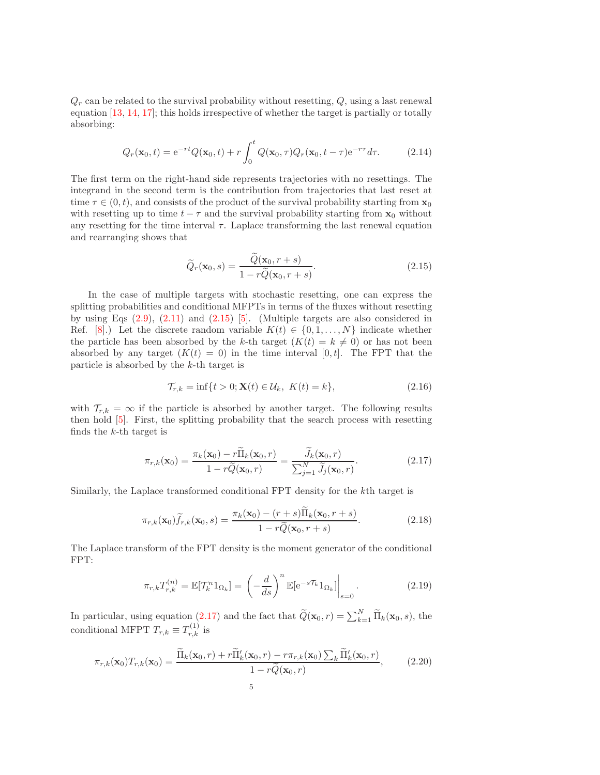$Q_r$  can be related to the survival probability without resetting,  $Q$ , using a last renewal equation [\[13,](#page-19-12) [14,](#page-19-13) [17\]](#page-19-15); this holds irrespective of whether the target is partially or totally absorbing:

$$
Q_r(\mathbf{x}_0, t) = e^{-rt}Q(\mathbf{x}_0, t) + r \int_0^t Q(\mathbf{x}_0, \tau) Q_r(\mathbf{x}_0, t - \tau) e^{-r\tau} d\tau.
$$
 (2.14)

The first term on the right-hand side represents trajectories with no resettings. The integrand in the second term is the contribution from trajectories that last reset at time  $\tau \in (0, t)$ , and consists of the product of the survival probability starting from  $\mathbf{x}_0$ with resetting up to time  $t - \tau$  and the survival probability starting from  $\mathbf{x}_0$  without any resetting for the time interval  $\tau$ . Laplace transforming the last renewal equation and rearranging shows that

<span id="page-4-0"></span>
$$
\widetilde{Q}_r(\mathbf{x}_0, s) = \frac{\widetilde{Q}(\mathbf{x}_0, r+s)}{1 - r\widetilde{Q}(\mathbf{x}_0, r+s)}.
$$
\n(2.15)

In the case of multiple targets with stochastic resetting, one can express the splitting probabilities and conditional MFPTs in terms of the fluxes without resetting by using Eqs  $(2.9)$ ,  $(2.11)$  and  $(2.15)$  [\[5\]](#page-19-21). (Multiple targets are also considered in Ref. [\[8\]](#page-19-18).) Let the discrete random variable  $K(t) \in \{0, 1, ..., N\}$  indicate whether the particle has been absorbed by the k-th target  $(K(t) = k \neq 0)$  or has not been absorbed by any target  $(K(t) = 0)$  in the time interval  $[0, t]$ . The FPT that the particle is absorbed by the k-th target is

<span id="page-4-1"></span>
$$
\mathcal{T}_{r,k} = \inf\{t > 0; \mathbf{X}(t) \in \mathcal{U}_k, \ K(t) = k\},\tag{2.16}
$$

with  $\mathcal{T}_{r,k} = \infty$  if the particle is absorbed by another target. The following results then hold [\[5\]](#page-19-21). First, the splitting probability that the search process with resetting finds the k-th target is

$$
\pi_{r,k}(\mathbf{x}_0) = \frac{\pi_k(\mathbf{x}_0) - r\widetilde{\Pi}_k(\mathbf{x}_0, r)}{1 - r\widetilde{Q}(\mathbf{x}_0, r)} = \frac{\widetilde{J}_k(\mathbf{x}_0, r)}{\sum_{j=1}^N \widetilde{J}_j(\mathbf{x}_0, r)}.
$$
(2.17)

Similarly, the Laplace transformed conditional FPT density for the kth target is

$$
\pi_{r,k}(\mathbf{x}_0)\widetilde{f}_{r,k}(\mathbf{x}_0,s) = \frac{\pi_k(\mathbf{x}_0) - (r+s)\widetilde{\Pi}_k(\mathbf{x}_0,r+s)}{1 - r\widetilde{Q}(\mathbf{x}_0,r+s)}.
$$
\n(2.18)

The Laplace transform of the FPT density is the moment generator of the conditional FPT:

$$
\pi_{r,k} T_{r,k}^{(n)} = \mathbb{E}[\mathcal{T}_k^n 1_{\Omega_k}] = \left(-\frac{d}{ds}\right)^n \mathbb{E}[\mathrm{e}^{-s\mathcal{T}_k} 1_{\Omega_k}]\bigg|_{s=0}.
$$
\n(2.19)

In particular, using equation [\(2.17\)](#page-4-1) and the fact that  $\tilde{Q}(\mathbf{x}_0, r) = \sum_{k=1}^{N} \tilde{\Pi}_k(\mathbf{x}_0, s)$ , the conditional MFPT  $T_{r,k} \equiv T_{r,k}^{(1)}$  is

$$
\pi_{r,k}(\mathbf{x}_0)T_{r,k}(\mathbf{x}_0) = \frac{\widetilde{\Pi}_k(\mathbf{x}_0, r) + r\widetilde{\Pi}_k'(\mathbf{x}_0, r) - r\pi_{r,k}(\mathbf{x}_0) \sum_k \widetilde{\Pi}_k'(\mathbf{x}_0, r)}{1 - r\widetilde{Q}(\mathbf{x}_0, r)},
$$
(2.20)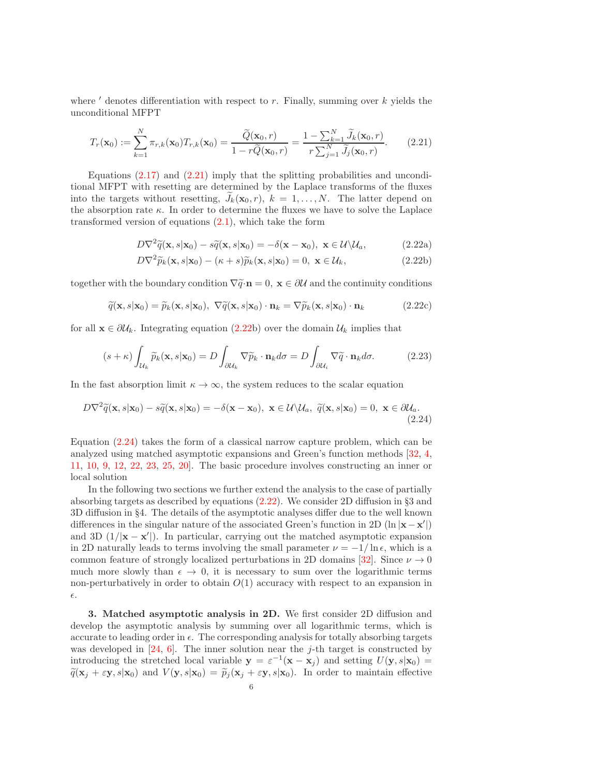where  $\prime$  denotes differentiation with respect to  $r$ . Finally, summing over  $k$  yields the unconditional MFPT

$$
T_r(\mathbf{x}_0) := \sum_{k=1}^N \pi_{r,k}(\mathbf{x}_0) T_{r,k}(\mathbf{x}_0) = \frac{\widetilde{Q}(\mathbf{x}_0, r)}{1 - r\widetilde{Q}(\mathbf{x}_0, r)} = \frac{1 - \sum_{k=1}^N \widetilde{J}_k(\mathbf{x}_0, r)}{r \sum_{j=1}^N \widetilde{J}_j(\mathbf{x}_0, r)}.
$$
(2.21)

Equations  $(2.17)$  and  $(2.21)$  imply that the splitting probabilities and unconditional MFPT with resetting are determined by the Laplace transforms of the fluxes into the targets without resetting,  $J_k(\mathbf{x}_0, r)$ ,  $k = 1, \ldots, N$ . The latter depend on the absorption rate  $\kappa$ . In order to determine the fluxes we have to solve the Laplace transformed version of equations  $(2.1)$ , which take the form

<span id="page-5-1"></span><span id="page-5-0"></span>
$$
D\nabla^2 \widetilde{q}(\mathbf{x}, s|\mathbf{x}_0) - s\widetilde{q}(\mathbf{x}, s|\mathbf{x}_0) = -\delta(\mathbf{x} - \mathbf{x}_0), \ \mathbf{x} \in \mathcal{U}\backslash \mathcal{U}_a,\tag{2.22a}
$$

<span id="page-5-3"></span><span id="page-5-2"></span>
$$
D\nabla^2 \widetilde{p}_k(\mathbf{x}, s|\mathbf{x}_0) - (\kappa + s)\widetilde{p}_k(\mathbf{x}, s|\mathbf{x}_0) = 0, \ \mathbf{x} \in \mathcal{U}_k,\tag{2.22b}
$$

together with the boundary condition  $\nabla \tilde{q} \cdot \mathbf{n} = 0$ ,  $\mathbf{x} \in \partial \mathcal{U}$  and the continuity conditions

$$
\widetilde{q}(\mathbf{x}, s|\mathbf{x}_0) = \widetilde{p}_k(\mathbf{x}, s|\mathbf{x}_0), \ \nabla \widetilde{q}(\mathbf{x}, s|\mathbf{x}_0) \cdot \mathbf{n}_k = \nabla \widetilde{p}_k(\mathbf{x}, s|\mathbf{x}_0) \cdot \mathbf{n}_k \tag{2.22c}
$$

for all  $\mathbf{x} \in \partial \mathcal{U}_k$ . Integrating equation [\(2.22b](#page-5-1)) over the domain  $\mathcal{U}_k$  implies that

$$
(s+\kappa)\int_{\mathcal{U}_k}\widetilde{p}_k(\mathbf{x},s|\mathbf{x}_0)=D\int_{\partial\mathcal{U}_k}\nabla\widetilde{p}_k\cdot\mathbf{n}_k d\sigma=D\int_{\partial\mathcal{U}_i}\nabla\widetilde{q}\cdot\mathbf{n}_k d\sigma.
$$
 (2.23)

In the fast absorption limit  $\kappa \to \infty$ , the system reduces to the scalar equation

$$
D\nabla^2 \widetilde{q}(\mathbf{x}, s|\mathbf{x}_0) - s\widetilde{q}(\mathbf{x}, s|\mathbf{x}_0) = -\delta(\mathbf{x} - \mathbf{x}_0), \ \mathbf{x} \in \mathcal{U}\backslash\mathcal{U}_a, \ \widetilde{q}(\mathbf{x}, s|\mathbf{x}_0) = 0, \ \mathbf{x} \in \partial\mathcal{U}_a.
$$
\n(2.24)

Equation [\(2.24\)](#page-5-2) takes the form of a classical narrow capture problem, which can be analyzed using matched asymptotic expansions and Green's function methods [\[32,](#page-20-1) [4,](#page-19-1) [11,](#page-19-2) [10,](#page-19-3) [9,](#page-19-4) [12,](#page-19-5) [22,](#page-19-6) [23,](#page-19-7) [25,](#page-19-8) [20\]](#page-19-9). The basic procedure involves constructing an inner or local solution

In the following two sections we further extend the analysis to the case of partially absorbing targets as described by equations [\(2.22\)](#page-5-1). We consider 2D diffusion in §3 and 3D diffusion in §4. The details of the asymptotic analyses differ due to the well known differences in the singular nature of the associated Green's function in 2D (ln  $|x - x'|$ ) and 3D  $(1/|\mathbf{x}-\mathbf{x}'|)$ . In particular, carrying out the matched asymptotic expansion in 2D naturally leads to terms involving the small parameter  $\nu = -1/\ln \epsilon$ , which is a common feature of strongly localized perturbations in 2D domains [\[32\]](#page-20-1). Since  $\nu \rightarrow 0$ much more slowly than  $\epsilon \to 0$ , it is necessary to sum over the logarithmic terms non-perturbatively in order to obtain  $O(1)$  accuracy with respect to an expansion in  $\epsilon.$ 

3. Matched asymptotic analysis in 2D. We first consider 2D diffusion and develop the asymptotic analysis by summing over all logarithmic terms, which is accurate to leading order in  $\epsilon$ . The corresponding analysis for totally absorbing targets was developed in [\[24,](#page-19-22) [6\]](#page-19-16). The inner solution near the j-th target is constructed by introducing the stretched local variable  $y = \varepsilon^{-1}(x - x_j)$  and setting  $U(y, s | x_0) =$  $\widetilde{q}(\mathbf{x}_j + \varepsilon \mathbf{y}, s|\mathbf{x}_0)$  and  $V(\mathbf{y}, s|\mathbf{x}_0) = \widetilde{p}_j(\mathbf{x}_j + \varepsilon \mathbf{y}, s|\mathbf{x}_0)$ . In order to maintain effective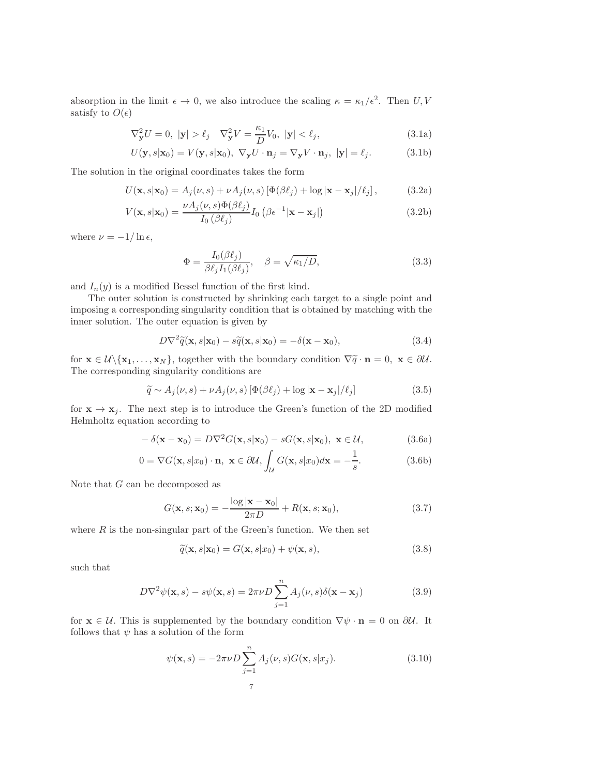absorption in the limit  $\epsilon \to 0$ , we also introduce the scaling  $\kappa = \kappa_1/\epsilon^2$ . Then U, V satisfy to  $O(\epsilon)$ 

<span id="page-6-0"></span>
$$
\nabla_{\mathbf{y}}^2 U = 0, \ |\mathbf{y}| > \ell_j \quad \nabla_{\mathbf{y}}^2 V = \frac{\kappa_1}{D} V_0, \ |\mathbf{y}| < \ell_j,
$$
\n(3.1a)

$$
U(\mathbf{y}, s|\mathbf{x}_0) = V(\mathbf{y}, s|\mathbf{x}_0), \ \nabla_{\mathbf{y}} U \cdot \mathbf{n}_j = \nabla_{\mathbf{y}} V \cdot \mathbf{n}_j, \ |\mathbf{y}| = \ell_j.
$$
 (3.1b)

The solution in the original coordinates takes the form

$$
U(\mathbf{x}, s|\mathbf{x}_0) = A_j(\nu, s) + \nu A_j(\nu, s) \left[ \Phi(\beta \ell_j) + \log |\mathbf{x} - \mathbf{x}_j| / \ell_j \right],\tag{3.2a}
$$

$$
V(\mathbf{x}, s|\mathbf{x}_0) = \frac{\nu A_j(\nu, s) \Phi(\beta \ell_j)}{I_0(\beta \ell_j)} I_0\left(\beta \epsilon^{-1} |\mathbf{x} - \mathbf{x}_j|\right)
$$
(3.2b)

where  $\nu = -1/\ln \epsilon$ ,

<span id="page-6-1"></span>
$$
\Phi = \frac{I_0(\beta \ell_j)}{\beta \ell_j I_1(\beta \ell_j)}, \quad \beta = \sqrt{\kappa_1/D},\tag{3.3}
$$

and  $I_n(y)$  is a modified Bessel function of the first kind.

The outer solution is constructed by shrinking each target to a single point and imposing a corresponding singularity condition that is obtained by matching with the inner solution. The outer equation is given by

$$
D\nabla^2 \widetilde{q}(\mathbf{x}, s|\mathbf{x}_0) - s\widetilde{q}(\mathbf{x}, s|\mathbf{x}_0) = -\delta(\mathbf{x} - \mathbf{x}_0),
$$
\n(3.4)

for  $\mathbf{x} \in \mathcal{U}\setminus \{\mathbf{x}_1,\ldots,\mathbf{x}_N\}$ , together with the boundary condition  $\nabla \widetilde{q} \cdot \mathbf{n} = 0$ ,  $\mathbf{x} \in \partial \mathcal{U}$ . The corresponding singularity conditions are

$$
\widetilde{q} \sim A_j(\nu, s) + \nu A_j(\nu, s) \left[ \Phi(\beta \ell_j) + \log |\mathbf{x} - \mathbf{x}_j| / \ell_j \right] \tag{3.5}
$$

for  $\mathbf{x} \to \mathbf{x}_j$ . The next step is to introduce the Green's function of the 2D modified Helmholtz equation according to

$$
-\delta(\mathbf{x} - \mathbf{x}_0) = D\nabla^2 G(\mathbf{x}, s|\mathbf{x}_0) - sG(\mathbf{x}, s|\mathbf{x}_0), \ \mathbf{x} \in \mathcal{U},\tag{3.6a}
$$

$$
0 = \nabla G(\mathbf{x}, s | x_0) \cdot \mathbf{n}, \ \mathbf{x} \in \partial \mathcal{U}, \int_{\mathcal{U}} G(\mathbf{x}, s | x_0) d\mathbf{x} = -\frac{1}{s}.
$$
 (3.6b)

Note that  $G$  can be decomposed as

$$
G(\mathbf{x}, s; \mathbf{x}_0) = -\frac{\log|\mathbf{x} - \mathbf{x}_0|}{2\pi D} + R(\mathbf{x}, s; \mathbf{x}_0),
$$
\n(3.7)

where  $R$  is the non-singular part of the Green's function. We then set

$$
\widetilde{q}(\mathbf{x}, s|\mathbf{x}_0) = G(\mathbf{x}, s|x_0) + \psi(\mathbf{x}, s),
$$
\n(3.8)

such that

$$
D\nabla^2 \psi(\mathbf{x}, s) - s\psi(\mathbf{x}, s) = 2\pi\nu D \sum_{j=1}^n A_j(\nu, s) \delta(\mathbf{x} - \mathbf{x}_j)
$$
(3.9)

for  $\mathbf{x} \in \mathcal{U}$ . This is supplemented by the boundary condition  $\nabla \psi \cdot \mathbf{n} = 0$  on  $\partial \mathcal{U}$ . It follows that  $\psi$  has a solution of the form

$$
\psi(\mathbf{x}, s) = -2\pi\nu D \sum_{j=1}^{n} A_j(\nu, s) G(\mathbf{x}, s | x_j).
$$
\n(3.10)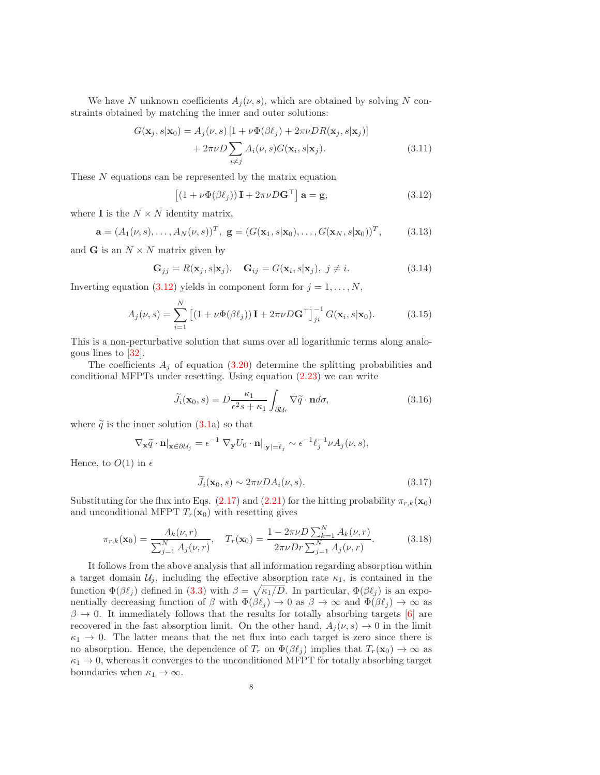We have N unknown coefficients  $A_j(\nu, s)$ , which are obtained by solving N constraints obtained by matching the inner and outer solutions:

$$
G(\mathbf{x}_j, s | \mathbf{x}_0) = A_j(\nu, s) \left[ 1 + \nu \Phi(\beta \ell_j) + 2\pi \nu D R(\mathbf{x}_j, s | \mathbf{x}_j) \right] + 2\pi \nu D \sum_{i \neq j} A_i(\nu, s) G(\mathbf{x}_i, s | \mathbf{x}_j).
$$
(3.11)

These N equations can be represented by the matrix equation

<span id="page-7-0"></span>
$$
\left[ (1 + \nu \Phi(\beta \ell_j)) \mathbf{I} + 2\pi \nu D \mathbf{G}^\top \right] \mathbf{a} = \mathbf{g},\tag{3.12}
$$

where **I** is the  $N \times N$  identity matrix,

$$
\mathbf{a} = (A_1(\nu, s), \dots, A_N(\nu, s))^T, \ \mathbf{g} = (G(\mathbf{x}_1, s | \mathbf{x}_0), \dots, G(\mathbf{x}_N, s | \mathbf{x}_0))^T,
$$
(3.13)

and **G** is an  $N \times N$  matrix given by

$$
\mathbf{G}_{jj} = R(\mathbf{x}_j, s | \mathbf{x}_j), \quad \mathbf{G}_{ij} = G(\mathbf{x}_i, s | \mathbf{x}_j), \ j \neq i. \tag{3.14}
$$

Inverting equation [\(3.12\)](#page-7-0) yields in component form for  $j = 1, \ldots, N$ ,

$$
A_j(\nu, s) = \sum_{i=1}^N \left[ \left( 1 + \nu \Phi(\beta \ell_j) \right) \mathbf{I} + 2\pi \nu D \mathbf{G}^\top \right]_{ji}^{-1} G(\mathbf{x}_i, s | \mathbf{x}_0). \tag{3.15}
$$

This is a non-perturbative solution that sums over all logarithmic terms along analogous lines to [\[32\]](#page-20-1).

The coefficients  $A_i$  of equation  $(3.20)$  determine the splitting probabilities and conditional MFPTs under resetting. Using equation [\(2.23\)](#page-5-3) we can write

$$
\widetilde{J}_i(\mathbf{x}_0, s) = D \frac{\kappa_1}{\epsilon^2 s + \kappa_1} \int_{\partial \mathcal{U}_i} \nabla \widetilde{q} \cdot \mathbf{n} d\sigma,\tag{3.16}
$$

where  $\tilde{q}$  is the inner solution [\(3.1a](#page-6-0)) so that

$$
\nabla_{\mathbf{x}} \widetilde{q} \cdot \mathbf{n}|_{\mathbf{x} \in \partial \mathcal{U}_j} = \epsilon^{-1} \nabla_{\mathbf{y}} U_0 \cdot \mathbf{n}|_{|\mathbf{y}| = \ell_j} \sim \epsilon^{-1} \ell_j^{-1} \nu A_j(\nu, s),
$$

Hence, to  $O(1)$  in  $\epsilon$ 

<span id="page-7-1"></span>
$$
\widetilde{J}_i(\mathbf{x}_0, s) \sim 2\pi \nu D A_i(\nu, s). \tag{3.17}
$$

Substituting for the flux into Eqs. [\(2.17\)](#page-4-1) and [\(2.21\)](#page-5-0) for the hitting probability  $\pi_{r,k}(\mathbf{x}_0)$ and unconditional MFPT  $T_r(\mathbf{x}_0)$  with resetting gives

$$
\pi_{r,k}(\mathbf{x}_0) = \frac{A_k(\nu, r)}{\sum_{j=1}^N A_j(\nu, r)}, \quad T_r(\mathbf{x}_0) = \frac{1 - 2\pi\nu D \sum_{k=1}^N A_k(\nu, r)}{2\pi\nu D r \sum_{j=1}^N A_j(\nu, r)}.
$$
(3.18)

It follows from the above analysis that all information regarding absorption within a target domain  $\mathcal{U}_i$ , including the effective absorption rate  $\kappa_1$ , is contained in the function  $\Phi(\beta \ell_j)$  defined in [\(3.3\)](#page-6-1) with  $\beta = \sqrt{\kappa_1/D}$ . In particular,  $\Phi(\beta \ell_j)$  is an exponentially decreasing function of  $\beta$  with  $\Phi(\beta \ell_j) \to 0$  as  $\beta \to \infty$  and  $\Phi(\beta \ell_j) \to \infty$  as  $\beta \rightarrow 0$ . It immediately follows that the results for totally absorbing targets [\[6\]](#page-19-16) are recovered in the fast absorption limit. On the other hand,  $A_i(\nu, s) \rightarrow 0$  in the limit  $\kappa_1 \rightarrow 0$ . The latter means that the net flux into each target is zero since there is no absorption. Hence, the dependence of  $T_r$  on  $\Phi(\beta \ell_j)$  implies that  $T_r(\mathbf{x}_0) \to \infty$  as  $\kappa_1 \rightarrow 0$ , whereas it converges to the unconditioned MFPT for totally absorbing target boundaries when  $\kappa_1 \to \infty$ .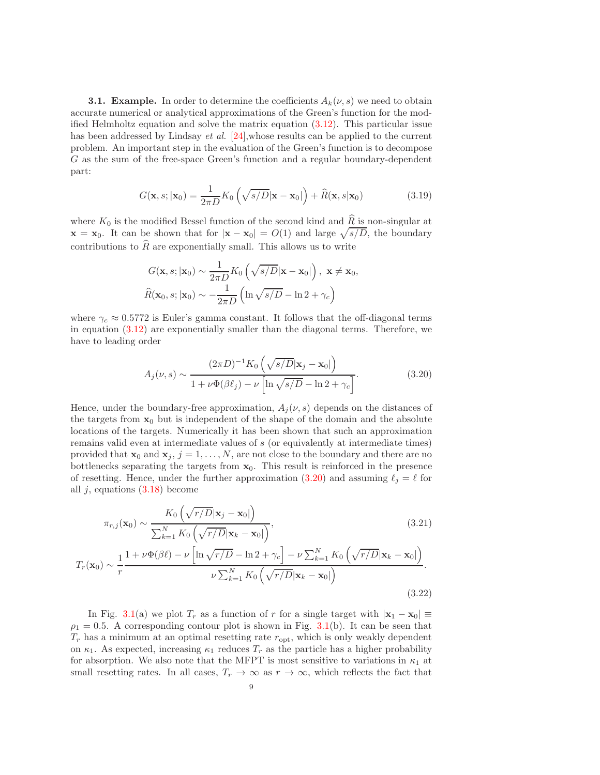**3.1. Example.** In order to determine the coefficients  $A_k(\nu, s)$  we need to obtain accurate numerical or analytical approximations of the Green's function for the modified Helmholtz equation and solve the matrix equation [\(3.12\)](#page-7-0). This particular issue has been addressed by Lindsay *et al.* [\[24\]](#page-19-22), whose results can be applied to the current problem. An important step in the evaluation of the Green's function is to decompose G as the sum of the free-space Green's function and a regular boundary-dependent part:

$$
G(\mathbf{x}, s; |\mathbf{x}_0) = \frac{1}{2\pi D} K_0 \left( \sqrt{s/D} |\mathbf{x} - \mathbf{x}_0| \right) + \widehat{R}(\mathbf{x}, s | \mathbf{x}_0)
$$
(3.19)

where  $K_0$  is the modified Bessel function of the second kind and  $\widehat{R}$  is non-singular at  $\mathbf{x} = \mathbf{x}_0$ . It can be shown that for  $|\mathbf{x} - \mathbf{x}_0| = O(1)$  and large  $\sqrt{s/D}$ , the boundary contributions to  $\widehat{R}$  are exponentially small. This allows us to write

$$
G(\mathbf{x}, s; |\mathbf{x}_0) \sim \frac{1}{2\pi D} K_0 \left( \sqrt{s/D} |\mathbf{x} - \mathbf{x}_0| \right), \ \mathbf{x} \neq \mathbf{x}_0,
$$

$$
\widehat{R}(\mathbf{x}_0, s; |\mathbf{x}_0) \sim -\frac{1}{2\pi D} \left( \ln \sqrt{s/D} - \ln 2 + \gamma_c \right)
$$

where  $\gamma_c \approx 0.5772$  is Euler's gamma constant. It follows that the off-diagonal terms in equation [\(3.12\)](#page-7-0) are exponentially smaller than the diagonal terms. Therefore, we have to leading order

<span id="page-8-0"></span>
$$
A_j(\nu, s) \sim \frac{(2\pi D)^{-1} K_0 \left(\sqrt{s/D} |\mathbf{x}_j - \mathbf{x}_0|\right)}{1 + \nu \Phi(\beta \ell_j) - \nu \left[\ln \sqrt{s/D} - \ln 2 + \gamma_c\right]}.
$$
\n(3.20)

Hence, under the boundary-free approximation,  $A_j(\nu, s)$  depends on the distances of the targets from  $x_0$  but is independent of the shape of the domain and the absolute locations of the targets. Numerically it has been shown that such an approximation remains valid even at intermediate values of s (or equivalently at intermediate times) provided that  $\mathbf{x}_0$  and  $\mathbf{x}_j$ ,  $j = 1, \ldots, N$ , are not close to the boundary and there are no bottlenecks separating the targets from  $x_0$ . This result is reinforced in the presence of resetting. Hence, under the further approximation [\(3.20\)](#page-8-0) and assuming  $\ell_j = \ell$  for all  $j$ , equations  $(3.18)$  become

$$
\pi_{r,j}(\mathbf{x}_0) \sim \frac{K_0\left(\sqrt{r/D}|\mathbf{x}_j - \mathbf{x}_0|\right)}{\sum_{k=1}^N K_0\left(\sqrt{r/D}|\mathbf{x}_k - \mathbf{x}_0|\right)},\tag{3.21}
$$

$$
T_r(\mathbf{x}_0) \sim \frac{1}{r} \frac{1 + \nu \Phi(\beta \ell) - \nu \left[ \ln \sqrt{r/D} - \ln 2 + \gamma_c \right] - \nu \sum_{k=1}^N K_0 \left( \sqrt{r/D} |\mathbf{x}_k - \mathbf{x}_0| \right)}{\nu \sum_{k=1}^N K_0 \left( \sqrt{r/D} |\mathbf{x}_k - \mathbf{x}_0| \right)}.
$$
\n(3.22)

In Fig. [3.1\(](#page-16-0)a) we plot  $T_r$  as a function of r for a single target with  $|\mathbf{x}_1 - \mathbf{x}_0| \equiv$  $\rho_1 = 0.5$ . A corresponding contour plot is shown in Fig. [3.1\(](#page-16-0)b). It can be seen that  $T_r$  has a minimum at an optimal resetting rate  $r_{\rm opt}$ , which is only weakly dependent on  $\kappa_1$ . As expected, increasing  $\kappa_1$  reduces  $T_r$  as the particle has a higher probability for absorption. We also note that the MFPT is most sensitive to variations in  $\kappa_1$  at small resetting rates. In all cases,  $T_r \to \infty$  as  $r \to \infty$ , which reflects the fact that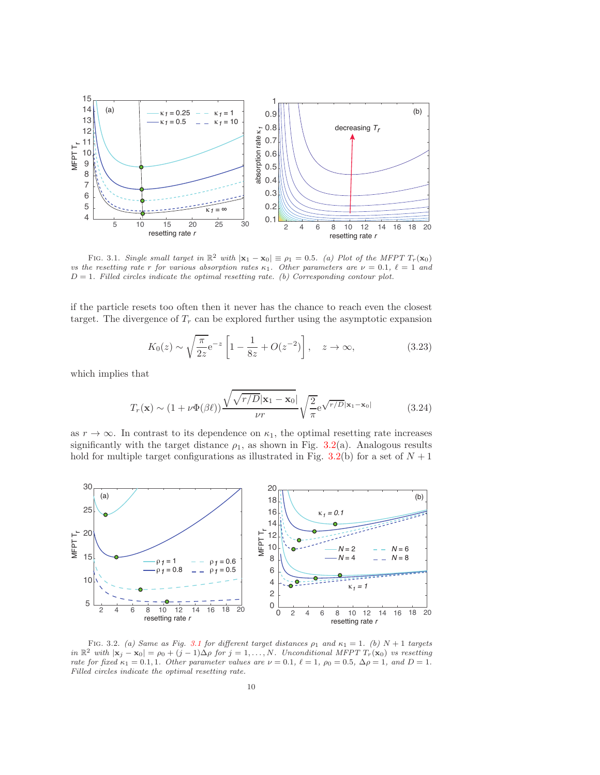

FIG. 3.1. Single small target in  $\mathbb{R}^2$  with  $|\mathbf{x}_1 - \mathbf{x}_0| \equiv \rho_1 = 0.5$ . (a) Plot of the MFPT  $T_r(\mathbf{x}_0)$ vs the resetting rate r for various absorption rates  $\kappa_1$ . Other parameters are  $\nu = 0.1$ ,  $\ell = 1$  and  $D = 1$ . Filled circles indicate the optimal resetting rate. (b) Corresponding contour plot.

if the particle resets too often then it never has the chance to reach even the closest target. The divergence of  $T_r$  can be explored further using the asymptotic expansion

$$
K_0(z) \sim \sqrt{\frac{\pi}{2z}} e^{-z} \left[ 1 - \frac{1}{8z} + O(z^{-2}) \right], \quad z \to \infty,
$$
 (3.23)

which implies that

$$
T_r(\mathbf{x}) \sim (1 + \nu \Phi(\beta \ell)) \frac{\sqrt{\sqrt{r/D}|\mathbf{x}_1 - \mathbf{x}_0|}}{\nu r} \sqrt{\frac{2}{\pi}} e^{\sqrt{r/D}|\mathbf{x}_1 - \mathbf{x}_0|}
$$
(3.24)

as  $r \to \infty$ . In contrast to its dependence on  $\kappa_1$ , the optimal resetting rate increases significantly with the target distance  $\rho_1$ , as shown in Fig. [3.2\(](#page-16-1)a). Analogous results hold for multiple target configurations as illustrated in Fig. [3.2\(](#page-16-1)b) for a set of  $N + 1$ 



FIG. 3.2. (a) Same as Fig. [3.1](#page-16-0) for different target distances  $\rho_1$  and  $\kappa_1 = 1$ . (b)  $N + 1$  targets in  $\mathbb{R}^2$  with  $|x_j - x_0| = \rho_0 + (j-1)\Delta\rho$  for  $j = 1, ..., N$ . Unconditional MFPT  $T_r(\mathbf{x}_0)$  vs resetting rate for fixed  $\kappa_1 = 0.1, 1$ . Other parameter values are  $\nu = 0.1, \ell = 1, \rho_0 = 0.5, \Delta \rho = 1, \text{ and } D = 1$ . Filled circles indicate the optimal resetting rate.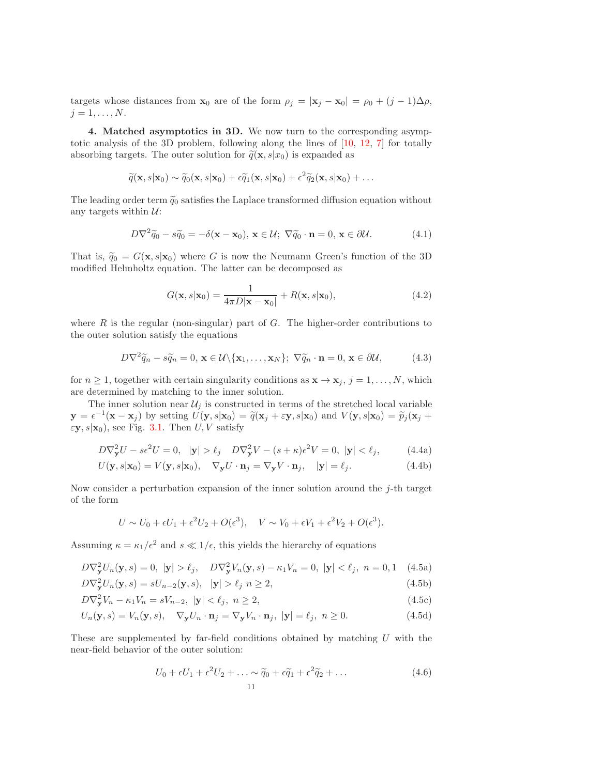targets whose distances from  $\mathbf{x}_0$  are of the form  $\rho_j = |\mathbf{x}_j - \mathbf{x}_0| = \rho_0 + (j-1)\Delta\rho$ ,  $j=1,\ldots,N.$ 

4. Matched asymptotics in 3D. We now turn to the corresponding asymptotic analysis of the 3D problem, following along the lines of [\[10,](#page-19-3) [12,](#page-19-5) [7\]](#page-19-17) for totally absorbing targets. The outer solution for  $\tilde{q}(\mathbf{x}, s|x_0)$  is expanded as

$$
\widetilde{q}(\mathbf{x}, s|\mathbf{x}_0) \sim \widetilde{q}_0(\mathbf{x}, s|\mathbf{x}_0) + \epsilon \widetilde{q}_1(\mathbf{x}, s|\mathbf{x}_0) + \epsilon^2 \widetilde{q}_2(\mathbf{x}, s|\mathbf{x}_0) + \dots
$$

The leading order term  $\tilde{q}_0$  satisfies the Laplace transformed diffusion equation without any targets within  $U$ :

$$
D\nabla^2 \widetilde{q}_0 - s\widetilde{q}_0 = -\delta(\mathbf{x} - \mathbf{x}_0), \, \mathbf{x} \in \mathcal{U}; \, \nabla \widetilde{q}_0 \cdot \mathbf{n} = 0, \, \mathbf{x} \in \partial \mathcal{U}.
$$
 (4.1)

That is,  $\tilde{q}_0 = G(\mathbf{x}, s|\mathbf{x}_0)$  where G is now the Neumann Green's function of the 3D modified Helmholtz equation. The latter can be decomposed as

<span id="page-10-1"></span>
$$
G(\mathbf{x}, s|\mathbf{x}_0) = \frac{1}{4\pi D|\mathbf{x} - \mathbf{x}_0|} + R(\mathbf{x}, s|\mathbf{x}_0),
$$
\n(4.2)

where  $R$  is the regular (non-singular) part of  $G$ . The higher-order contributions to the outer solution satisfy the equations

$$
D\nabla^2 \widetilde{q}_n - s\widetilde{q}_n = 0, \, \mathbf{x} \in \mathcal{U} \setminus \{ \mathbf{x}_1, \dots, \mathbf{x}_N \}; \, \nabla \widetilde{q}_n \cdot \mathbf{n} = 0, \, \mathbf{x} \in \partial \mathcal{U}, \tag{4.3}
$$

for  $n \geq 1$ , together with certain singularity conditions as  $\mathbf{x} \to \mathbf{x}_j$ ,  $j = 1, \ldots, N$ , which are determined by matching to the inner solution.

The inner solution near  $\mathcal{U}_i$  is constructed in terms of the stretched local variable  $\mathbf{y} = \epsilon^{-1}(\mathbf{x} - \mathbf{x}_j)$  by setting  $U(\mathbf{y}, s | \mathbf{x}_0) = \tilde{q}(\mathbf{x}_j + \epsilon \mathbf{y}, s | \mathbf{x}_0)$  and  $V(\mathbf{y}, s | \mathbf{x}_0) = \tilde{p}_j(\mathbf{x}_j + \epsilon \mathbf{y}_j)$  $\varepsilon$ **y**,  $s$  $\vert$ **x**<sub>0</sub>), see Fig. [3.1.](#page-16-0) Then *U*, *V* satisfy

$$
D\nabla_{\mathbf{y}}^2 U - s\epsilon^2 U = 0, \quad |\mathbf{y}| > \ell_j \quad D\nabla_{\mathbf{y}}^2 V - (s + \kappa)\epsilon^2 V = 0, \quad |\mathbf{y}| < \ell_j,
$$
 (4.4a)

$$
U(\mathbf{y}, s|\mathbf{x}_0) = V(\mathbf{y}, s|\mathbf{x}_0), \quad \nabla_{\mathbf{y}} U \cdot \mathbf{n}_j = \nabla_{\mathbf{y}} V \cdot \mathbf{n}_j, \quad |\mathbf{y}| = \ell_j.
$$
 (4.4b)

Now consider a perturbation expansion of the inner solution around the  $j$ -th target of the form

$$
U \sim U_0 + \epsilon U_1 + \epsilon^2 U_2 + O(\epsilon^3), \quad V \sim V_0 + \epsilon V_1 + \epsilon^2 V_2 + O(\epsilon^3).
$$

Assuming  $\kappa = \kappa_1/\epsilon^2$  and  $s \ll 1/\epsilon$ , this yields the hierarchy of equations

$$
D\nabla_{\mathbf{y}}^2 U_n(\mathbf{y}, s) = 0, \ |\mathbf{y}| > \ell_j, \quad D\nabla_{\mathbf{y}}^2 V_n(\mathbf{y}, s) - \kappa_1 V_n = 0, \ |\mathbf{y}| < \ell_j, \ n = 0, 1 \quad (4.5a)
$$

$$
D\nabla_{\mathbf{y}}^2 U_n(\mathbf{y}, s) = sU_{n-2}(\mathbf{y}, s), \quad |\mathbf{y}| > \ell_j \ n \ge 2,
$$
\n(4.5b)

$$
D\nabla_{\mathbf{y}}^2 V_n - \kappa_1 V_n = sV_{n-2}, \ |\mathbf{y}| < \ell_j, \ n \ge 2,\tag{4.5c}
$$

$$
U_n(\mathbf{y}, s) = V_n(\mathbf{y}, s), \quad \nabla_{\mathbf{y}} U_n \cdot \mathbf{n}_j = \nabla_{\mathbf{y}} V_n \cdot \mathbf{n}_j, \ |\mathbf{y}| = \ell_j, \ n \ge 0. \tag{4.5d}
$$

These are supplemented by far-field conditions obtained by matching  $U$  with the near-field behavior of the outer solution:

<span id="page-10-0"></span>
$$
U_0 + \epsilon U_1 + \epsilon^2 U_2 + \ldots \sim \widetilde{q}_0 + \epsilon \widetilde{q}_1 + \epsilon^2 \widetilde{q}_2 + \ldots
$$
\n
$$
11 \tag{4.6}
$$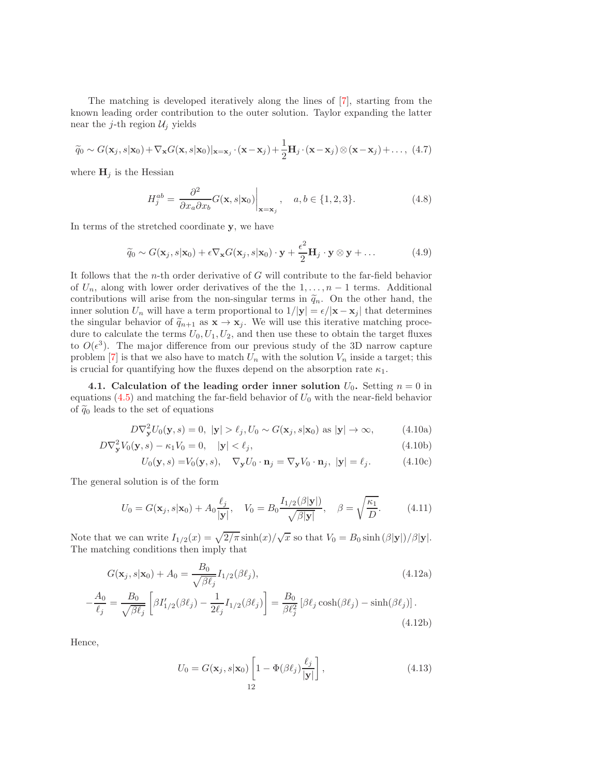The matching is developed iteratively along the lines of [\[7\]](#page-19-17), starting from the known leading order contribution to the outer solution. Taylor expanding the latter near the j-th region  $\mathcal{U}_i$  yields

$$
\widetilde{q}_0 \sim G(\mathbf{x}_j, s|\mathbf{x}_0) + \nabla_{\mathbf{x}} G(\mathbf{x}, s|\mathbf{x}_0)|_{\mathbf{x}=\mathbf{x}_j} \cdot (\mathbf{x} - \mathbf{x}_j) + \frac{1}{2} \mathbf{H}_j \cdot (\mathbf{x} - \mathbf{x}_j) \otimes (\mathbf{x} - \mathbf{x}_j) + \dots, (4.7)
$$

where  $H_j$  is the Hessian

$$
H_j^{ab} = \left. \frac{\partial^2}{\partial x_a \partial x_b} G(\mathbf{x}, s | \mathbf{x}_0) \right|_{\mathbf{x} = \mathbf{x}_j}, \quad a, b \in \{1, 2, 3\}.
$$
 (4.8)

In terms of the stretched coordinate y, we have

<span id="page-11-0"></span>
$$
\widetilde{q}_0 \sim G(\mathbf{x}_j, s | \mathbf{x}_0) + \epsilon \nabla_{\mathbf{x}} G(\mathbf{x}_j, s | \mathbf{x}_0) \cdot \mathbf{y} + \frac{\epsilon^2}{2} \mathbf{H}_j \cdot \mathbf{y} \otimes \mathbf{y} + \dots
$$
 (4.9)

It follows that the n-th order derivative of G will contribute to the far-field behavior of  $U_n$ , along with lower order derivatives of the the  $1, \ldots, n-1$  terms. Additional contributions will arise from the non-singular terms in  $\tilde{q}_n$ . On the other hand, the inner solution  $U_n$  will have a term proportional to  $1/|\mathbf{y}| = \epsilon/|\mathbf{x} - \mathbf{x}_j|$  that determines the singular behavior of  $\tilde{q}_{n+1}$  as  $\mathbf{x} \to \mathbf{x}_j$ . We will use this iterative matching procedure to calculate the terms  $U_0, U_1, U_2$ , and then use these to obtain the target fluxes to  $O(\epsilon^3)$ . The major difference from our previous study of the 3D narrow capture problem [\[7\]](#page-19-17) is that we also have to match  $U_n$  with the solution  $V_n$  inside a target; this is crucial for quantifying how the fluxes depend on the absorption rate  $\kappa_1$ .

4.1. Calculation of the leading order inner solution  $U_0$ . Setting  $n = 0$  in equations  $(4.5)$  and matching the far-field behavior of  $U_0$  with the near-field behavior of  $\tilde{q}_0$  leads to the set of equations

$$
D\nabla_{\mathbf{y}}^2 U_0(\mathbf{y}, s) = 0, \ |\mathbf{y}| > \ell_j, U_0 \sim G(\mathbf{x}_j, s|\mathbf{x}_0) \text{ as } |\mathbf{y}| \to \infty,
$$
 (4.10a)

$$
D\nabla_{\mathbf{y}}^2 V_0(\mathbf{y}, s) - \kappa_1 V_0 = 0, \quad |\mathbf{y}| < \ell_j,
$$
\n(4.10b)

$$
U_0(\mathbf{y}, s) = V_0(\mathbf{y}, s), \quad \nabla_{\mathbf{y}} U_0 \cdot \mathbf{n}_j = \nabla_{\mathbf{y}} V_0 \cdot \mathbf{n}_j, \ |\mathbf{y}| = \ell_j.
$$
 (4.10c)

The general solution is of the form

$$
U_0 = G(\mathbf{x}_j, s | \mathbf{x}_0) + A_0 \frac{\ell_j}{|\mathbf{y}|}, \quad V_0 = B_0 \frac{I_{1/2}(\beta |\mathbf{y}|)}{\sqrt{\beta |\mathbf{y}|}}, \quad \beta = \sqrt{\frac{\kappa_1}{D}}.
$$
 (4.11)

Note that we can write  $I_{1/2}(x) = \sqrt{2/\pi} \sinh(x)/\sqrt{x}$  so that  $V_0 = B_0 \sinh(\beta|\mathbf{y}|)/\beta|\mathbf{y}|$ . The matching conditions then imply that

$$
G(\mathbf{x}_{j}, s | \mathbf{x}_{0}) + A_{0} = \frac{B_{0}}{\sqrt{\beta \ell_{j}}} I_{1/2}(\beta \ell_{j}),
$$
\n(4.12a)\n
$$
B_{0} = \begin{bmatrix} 1 & 0 & 0 & 0 \\ 0 & 0 & 0 & 0 \\ 0 & 0 & 0 & 0 \end{bmatrix}, \quad B_{0} = \begin{bmatrix} 0 & 0 & 0 & 0 \\ 0 & 0 & 0 & 0 \\ 0 & 0 & 0 & 0 \end{bmatrix}
$$

$$
-\frac{A_0}{\ell_j} = \frac{B_0}{\sqrt{\beta \ell_j}} \left[ \beta I'_{1/2}(\beta \ell_j) - \frac{1}{2\ell_j} I_{1/2}(\beta \ell_j) \right] = \frac{B_0}{\beta \ell_j^2} \left[ \beta \ell_j \cosh(\beta \ell_j) - \sinh(\beta \ell_j) \right].
$$
\n(4.12b)

Hence,

$$
U_0 = G(\mathbf{x}_j, s | \mathbf{x}_0) \left[ 1 - \Phi(\beta \ell_j) \frac{\ell_j}{|\mathbf{y}|} \right],
$$
\n(4.13)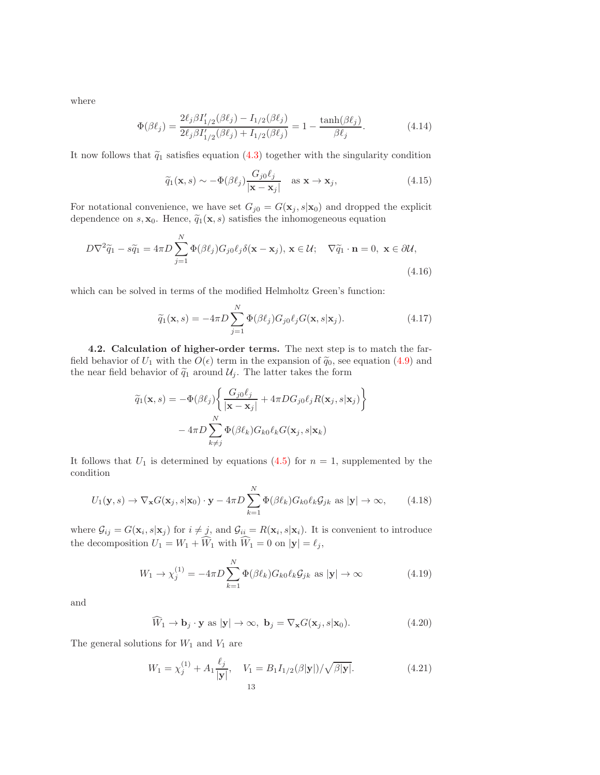where

<span id="page-12-0"></span>
$$
\Phi(\beta \ell_j) = \frac{2\ell_j \beta I'_{1/2}(\beta \ell_j) - I_{1/2}(\beta \ell_j)}{2\ell_j \beta I'_{1/2}(\beta \ell_j) + I_{1/2}(\beta \ell_j)} = 1 - \frac{\tanh(\beta \ell_j)}{\beta \ell_j}.
$$
\n(4.14)

It now follows that  $\tilde{q}_1$  satisfies equation [\(4.3\)](#page-10-1) together with the singularity condition

$$
\widetilde{q}_1(\mathbf{x}, s) \sim -\Phi(\beta \ell_j) \frac{G_j \ell_j}{|\mathbf{x} - \mathbf{x}_j|} \quad \text{as } \mathbf{x} \to \mathbf{x}_j,
$$
\n(4.15)

For notational convenience, we have set  $G_{j0} = G(\mathbf{x}_j, s | \mathbf{x}_0)$  and dropped the explicit dependence on s,  $\mathbf{x}_0$ . Hence,  $\tilde{q}_1(\mathbf{x}, s)$  satisfies the inhomogeneous equation

$$
D\nabla^2 \tilde{q}_1 - s\tilde{q}_1 = 4\pi D \sum_{j=1}^N \Phi(\beta \ell_j) G_{j0} \ell_j \delta(\mathbf{x} - \mathbf{x}_j), \mathbf{x} \in \mathcal{U}; \quad \nabla \tilde{q}_1 \cdot \mathbf{n} = 0, \ \mathbf{x} \in \partial \mathcal{U},
$$
\n(4.16)

which can be solved in terms of the modified Helmholtz Green's function:

$$
\widetilde{q}_1(\mathbf{x}, s) = -4\pi D \sum_{j=1}^N \Phi(\beta \ell_j) G_{j0} \ell_j G(\mathbf{x}, s | \mathbf{x}_j).
$$
\n(4.17)

4.2. Calculation of higher-order terms. The next step is to match the farfield behavior of  $U_1$  with the  $O(\epsilon)$  term in the expansion of  $\tilde{q}_0$ , see equation [\(4.9\)](#page-11-0) and the near field behavior of  $\tilde{q}_1$  around  $\mathcal{U}_j$ . The latter takes the form

$$
\widetilde{q}_1(\mathbf{x}, s) = -\Phi(\beta \ell_j) \left\{ \frac{G_{j0}\ell_j}{|\mathbf{x} - \mathbf{x}_j|} + 4\pi DG_{j0}\ell_j R(\mathbf{x}_j, s | \mathbf{x}_j) \right\}
$$

$$
-4\pi D \sum_{k \neq j}^{N} \Phi(\beta \ell_k) G_{k0}\ell_k G(\mathbf{x}_j, s | \mathbf{x}_k)
$$

It follows that  $U_1$  is determined by equations [\(4.5\)](#page-10-0) for  $n = 1$ , supplemented by the condition

$$
U_1(\mathbf{y}, s) \to \nabla_{\mathbf{x}} G(\mathbf{x}_j, s | \mathbf{x}_0) \cdot \mathbf{y} - 4\pi D \sum_{k=1}^N \Phi(\beta \ell_k) G_{k0} \ell_k \mathcal{G}_{jk} \text{ as } |\mathbf{y}| \to \infty,
$$
 (4.18)

where  $\mathcal{G}_{ij} = G(\mathbf{x}_i, s | \mathbf{x}_j)$  for  $i \neq j$ , and  $\mathcal{G}_{ii} = R(\mathbf{x}_i, s | \mathbf{x}_i)$ . It is convenient to introduce the decomposition  $U_1 = W_1 + W_1$  with  $W_1 = 0$  on  $|\mathbf{y}| = \ell_j$ ,

$$
W_1 \to \chi_j^{(1)} = -4\pi D \sum_{k=1}^N \Phi(\beta \ell_k) G_{k0} \ell_k \mathcal{G}_{jk} \text{ as } |\mathbf{y}| \to \infty \tag{4.19}
$$

and

$$
\widehat{W}_1 \to \mathbf{b}_j \cdot \mathbf{y} \text{ as } |\mathbf{y}| \to \infty, \ \mathbf{b}_j = \nabla_{\mathbf{x}} G(\mathbf{x}_j, s | \mathbf{x}_0). \tag{4.20}
$$

The general solutions for  $W_1$  and  $V_1$  are

$$
W_1 = \chi_j^{(1)} + A_1 \frac{\ell_j}{|\mathbf{y}|}, \quad V_1 = B_1 I_{1/2}(\beta|\mathbf{y}|) / \sqrt{\beta|\mathbf{y}|}. \tag{4.21}
$$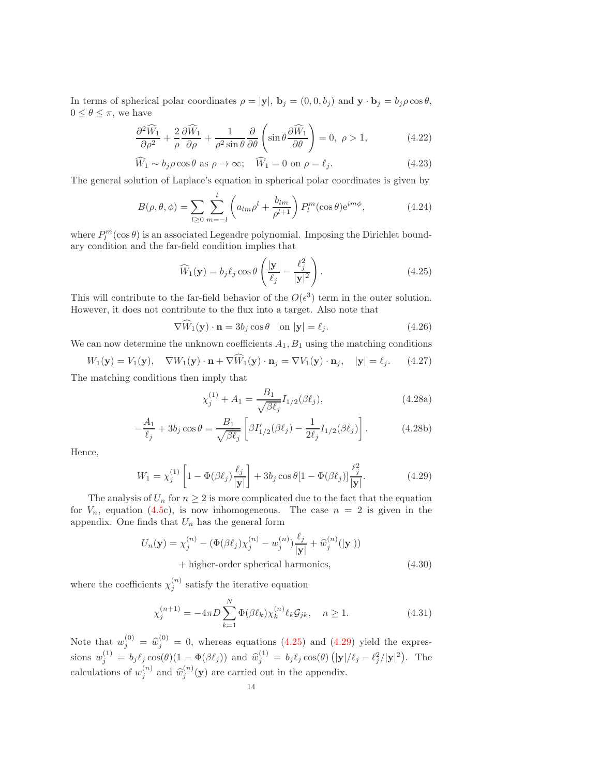In terms of spherical polar coordinates  $\rho = |\mathbf{y}|$ ,  $\mathbf{b}_j = (0, 0, b_j)$  and  $\mathbf{y} \cdot \mathbf{b}_j = b_j \rho \cos \theta$ ,  $0 \leq \theta \leq \pi$ , we have

$$
\frac{\partial^2 \widehat{W}_1}{\partial \rho^2} + \frac{2}{\rho} \frac{\partial \widehat{W}_1}{\partial \rho} + \frac{1}{\rho^2 \sin \theta} \frac{\partial}{\partial \theta} \left( \sin \theta \frac{\partial \widehat{W}_1}{\partial \theta} \right) = 0, \ \rho > 1,
$$
 (4.22)

$$
\widehat{W}_1 \sim b_j \rho \cos \theta \text{ as } \rho \to \infty; \quad \widehat{W}_1 = 0 \text{ on } \rho = \ell_j. \tag{4.23}
$$

The general solution of Laplace's equation in spherical polar coordinates is given by

$$
B(\rho,\theta,\phi) = \sum_{l\geq 0} \sum_{m=-l}^{l} \left( a_{lm}\rho^l + \frac{b_{lm}}{\rho^{l+1}} \right) P_l^m(\cos\theta) e^{im\phi},\tag{4.24}
$$

where  $P_l^m(\cos\theta)$  is an associated Legendre polynomial. Imposing the Dirichlet boundary condition and the far-field condition implies that

<span id="page-13-0"></span>
$$
\widehat{W}_1(\mathbf{y}) = b_j \ell_j \cos \theta \left( \frac{|\mathbf{y}|}{\ell_j} - \frac{\ell_j^2}{|\mathbf{y}|^2} \right). \tag{4.25}
$$

This will contribute to the far-field behavior of the  $O(\epsilon^3)$  term in the outer solution. However, it does not contribute to the flux into a target. Also note that

$$
\nabla \widetilde{W}_1(\mathbf{y}) \cdot \mathbf{n} = 3b_j \cos \theta \quad \text{on } |\mathbf{y}| = \ell_j. \tag{4.26}
$$

We can now determine the unknown coefficients  $A_1, B_1$  using the matching conditions

$$
W_1(\mathbf{y}) = V_1(\mathbf{y}), \quad \nabla W_1(\mathbf{y}) \cdot \mathbf{n} + \nabla \widehat{W}_1(\mathbf{y}) \cdot \mathbf{n}_j = \nabla V_1(\mathbf{y}) \cdot \mathbf{n}_j, \quad |\mathbf{y}| = \ell_j.
$$
 (4.27)

The matching conditions then imply that

$$
\chi_j^{(1)} + A_1 = \frac{B_1}{\sqrt{\beta \ell_j}} I_{1/2}(\beta \ell_j), \tag{4.28a}
$$

$$
-\frac{A_1}{\ell_j} + 3b_j \cos \theta = \frac{B_1}{\sqrt{\beta \ell_j}} \left[ \beta I'_{1/2}(\beta \ell_j) - \frac{1}{2\ell_j} I_{1/2}(\beta \ell_j) \right].
$$
 (4.28b)

Hence,

<span id="page-13-1"></span>
$$
W_1 = \chi_j^{(1)} \left[ 1 - \Phi(\beta \ell_j) \frac{\ell_j}{|\mathbf{y}|} \right] + 3b_j \cos \theta [1 - \Phi(\beta \ell_j)] \frac{\ell_j^2}{|\mathbf{y}|}. \tag{4.29}
$$

The analysis of  $U_n$  for  $n \geq 2$  is more complicated due to the fact that the equation for  $V_n$ , equation [\(4.5c](#page-10-0)), is now inhomogeneous. The case  $n = 2$  is given in the appendix. One finds that  $U_n$  has the general form

$$
U_n(\mathbf{y}) = \chi_j^{(n)} - (\Phi(\beta \ell_j) \chi_j^{(n)} - w_j^{(n)}) \frac{\ell_j}{|\mathbf{y}|} + \widehat{w}_j^{(n)}(|\mathbf{y}|))
$$
  
+ higher-order spherical harmonics, (4.30)

where the coefficients  $\chi_i^{(n)}$  $j^{(n)}$  satisfy the iterative equation

$$
\chi_j^{(n+1)} = -4\pi D \sum_{k=1}^N \Phi(\beta \ell_k) \chi_k^{(n)} \ell_k \mathcal{G}_{jk}, \quad n \ge 1.
$$
 (4.31)

Note that  $w_j^{(0)} = \hat{w}_j^{(0)} = 0$ , whereas equations [\(4.25\)](#page-13-0) and [\(4.29\)](#page-13-1) yield the expressions  $w_j^{(1)} = b_j \ell_j \cos(\theta) (1 - \Phi(\beta \ell_j))$  and  $\hat{w}_j^{(1)} = b_j \ell_j \cos(\theta) (|\mathbf{y}|/\ell_j - \ell_j^2/|\mathbf{y}|^2)$ . The calculations of  $w_j^{(n)}$  and  $\widehat{w}_j^{(n)}(\mathbf{y})$  are carried out in the appendix.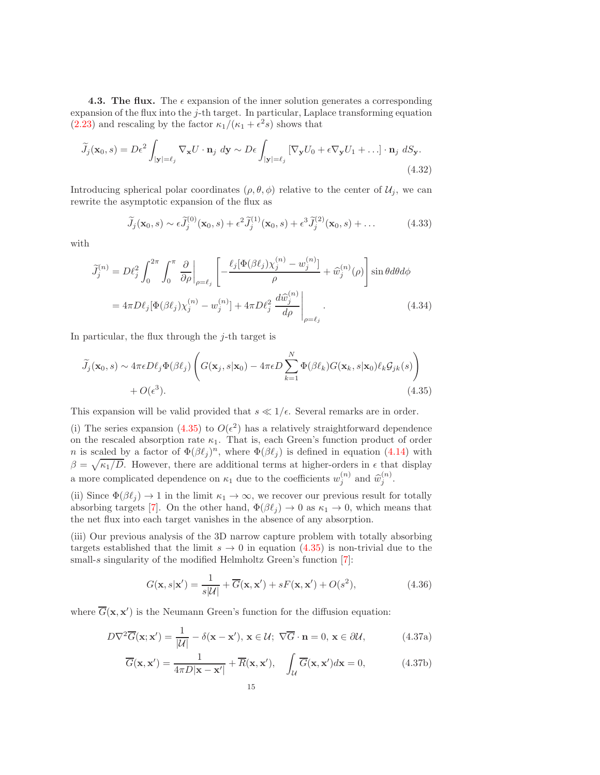**4.3. The flux.** The  $\epsilon$  expansion of the inner solution generates a corresponding expansion of the flux into the j-th target. In particular, Laplace transforming equation  $(2.23)$  and rescaling by the factor  $\kappa_1/(\kappa_1 + \epsilon^2 s)$  shows that

$$
\widetilde{J}_j(\mathbf{x}_0, s) = D\epsilon^2 \int_{|\mathbf{y}| = \ell_j} \nabla_{\mathbf{x}} U \cdot \mathbf{n}_j \, d\mathbf{y} \sim D\epsilon \int_{|\mathbf{y}| = \ell_j} \left[ \nabla_{\mathbf{y}} U_0 + \epsilon \nabla_{\mathbf{y}} U_1 + \ldots \right] \cdot \mathbf{n}_j \, dS_{\mathbf{y}}.
$$
\n(4.32)

Introducing spherical polar coordinates  $(\rho, \theta, \phi)$  relative to the center of  $\mathcal{U}_j$ , we can rewrite the asymptotic expansion of the flux as

$$
\widetilde{J}_j(\mathbf{x}_0,s) \sim \epsilon \widetilde{J}_j^{(0)}(\mathbf{x}_0,s) + \epsilon^2 \widetilde{J}_j^{(1)}(\mathbf{x}_0,s) + \epsilon^3 \widetilde{J}_j^{(2)}(\mathbf{x}_0,s) + \dots
$$
\n(4.33)

with

$$
\widetilde{J}_j^{(n)} = D\ell_j^2 \int_0^{2\pi} \int_0^{\pi} \left. \frac{\partial}{\partial \rho} \right|_{\rho=\ell_j} \left[ -\frac{\ell_j [\Phi(\beta \ell_j) \chi_j^{(n)} - w_j^{(n)}]}{\rho} + \widehat{w}_j^{(n)}(\rho) \right] \sin \theta d\theta d\phi
$$

$$
= 4\pi D\ell_j [\Phi(\beta \ell_j) \chi_j^{(n)} - w_j^{(n)}] + 4\pi D\ell_j^2 \left. \frac{d\widehat{w}_j^{(n)}}{d\rho} \right|_{\rho=\ell_j} . \tag{4.34}
$$

In particular, the flux through the  $j$ -th target is

$$
\widetilde{J}_j(\mathbf{x}_0, s) \sim 4\pi \epsilon D\ell_j \Phi(\beta \ell_j) \left( G(\mathbf{x}_j, s | \mathbf{x}_0) - 4\pi \epsilon D \sum_{k=1}^N \Phi(\beta \ell_k) G(\mathbf{x}_k, s | \mathbf{x}_0) \ell_k \mathcal{G}_{jk}(s) \right) + O(\epsilon^3).
$$
\n(4.35)

This expansion will be valid provided that  $s \ll 1/\epsilon$ . Several remarks are in order.

(i) The series expansion [\(4.35\)](#page-14-0) to  $O(\epsilon^2)$  has a relatively straightforward dependence on the rescaled absorption rate  $\kappa_1$ . That is, each Green's function product of order *n* is scaled by a factor of  $\Phi(\beta \ell_j)^n$ , where  $\Phi(\beta \ell_j)$  is defined in equation [\(4.14\)](#page-12-0) with  $\beta = \sqrt{\kappa_1/D}$ . However, there are additional terms at higher-orders in  $\epsilon$  that display a more complicated dependence on  $\kappa_1$  due to the coefficients  $w_j^{(n)}$  and  $\widehat{w}_j^{(n)}$ .

(ii) Since  $\Phi(\beta \ell_j) \to 1$  in the limit  $\kappa_1 \to \infty$ , we recover our previous result for totally absorbing targets [\[7\]](#page-19-17). On the other hand,  $\Phi(\beta \ell_i) \rightarrow 0$  as  $\kappa_1 \rightarrow 0$ , which means that the net flux into each target vanishes in the absence of any absorption.

(iii) Our previous analysis of the 3D narrow capture problem with totally absorbing targets established that the limit  $s \to 0$  in equation [\(4.35\)](#page-14-0) is non-trivial due to the small-s singularity of the modified Helmholtz Green's function [\[7\]](#page-19-17):

<span id="page-14-1"></span><span id="page-14-0"></span>
$$
G(\mathbf{x}, s|\mathbf{x}') = \frac{1}{s|\mathcal{U}|} + \overline{G}(\mathbf{x}, \mathbf{x}') + sF(\mathbf{x}, \mathbf{x}') + O(s^2),
$$
\n(4.36)

where  $\overline{G}(\mathbf{x}, \mathbf{x}')$  is the Neumann Green's function for the diffusion equation:

$$
D\nabla^2 \overline{G}(\mathbf{x}; \mathbf{x}') = \frac{1}{|\mathcal{U}|} - \delta(\mathbf{x} - \mathbf{x}'), \mathbf{x} \in \mathcal{U}; \ \nabla \overline{G} \cdot \mathbf{n} = 0, \ \mathbf{x} \in \partial \mathcal{U}, \tag{4.37a}
$$

$$
\overline{G}(\mathbf{x}, \mathbf{x}') = \frac{1}{4\pi D|\mathbf{x} - \mathbf{x}'|} + \overline{R}(\mathbf{x}, \mathbf{x}'), \quad \int_{\mathcal{U}} \overline{G}(\mathbf{x}, \mathbf{x}') d\mathbf{x} = 0,
$$
 (4.37b)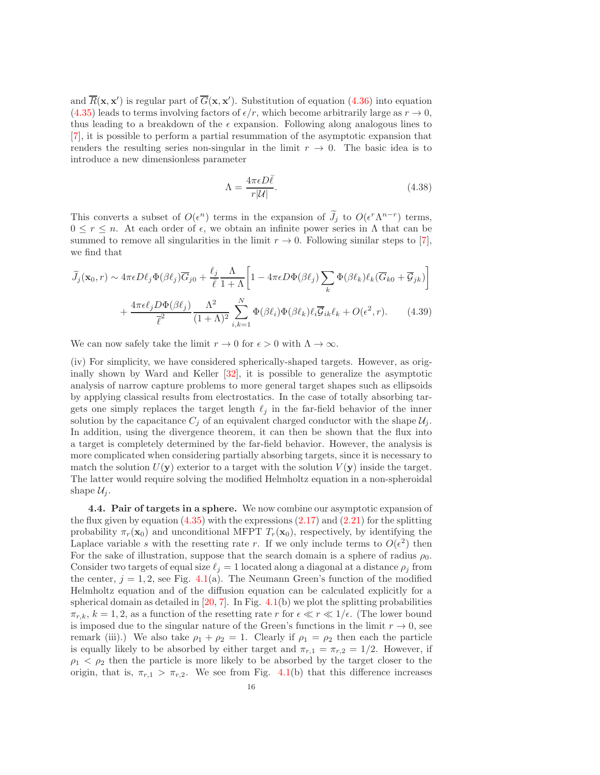and  $\overline{R}(\mathbf{x}, \mathbf{x}')$  is regular part of  $\overline{G}(\mathbf{x}, \mathbf{x}')$ . Substitution of equation  $(4.36)$  into equation [\(4.35\)](#page-14-0) leads to terms involving factors of  $\epsilon/r$ , which become arbitrarily large as  $r \to 0$ , thus leading to a breakdown of the  $\epsilon$  expansion. Following along analogous lines to [\[7\]](#page-19-17), it is possible to perform a partial resummation of the asymptotic expansion that renders the resulting series non-singular in the limit  $r \to 0$ . The basic idea is to introduce a new dimensionless parameter

$$
\Lambda = \frac{4\pi\epsilon D\bar{\ell}}{r|\mathcal{U}|}.\tag{4.38}
$$

This converts a subset of  $O(\epsilon^n)$  terms in the expansion of  $J_j$  to  $O(\epsilon^n \Lambda^{n-r})$  terms,  $0 \leq r \leq n$ . At each order of  $\epsilon$ , we obtain an infinite power series in  $\Lambda$  that can be summed to remove all singularities in the limit  $r \to 0$ . Following similar steps to [\[7\]](#page-19-17), we find that

$$
\widetilde{J}_j(\mathbf{x}_0, r) \sim 4\pi \epsilon D\ell_j \Phi(\beta \ell_j) \overline{G}_{j0} + \frac{\ell_j}{\overline{\ell}} \frac{\Lambda}{1+\Lambda} \left[ 1 - 4\pi \epsilon D\Phi(\beta \ell_j) \sum_k \Phi(\beta \ell_k) \ell_k (\overline{G}_{k0} + \overline{\mathcal{G}}_{jk}) \right] \n+ \frac{4\pi \epsilon \ell_j D\Phi(\beta \ell_j)}{\overline{\ell}^2} \frac{\Lambda^2}{(1+\Lambda)^2} \sum_{i,k=1}^N \Phi(\beta \ell_i) \Phi(\beta \ell_k) \ell_i \overline{\mathcal{G}}_{ik} \ell_k + O(\epsilon^2, r).
$$
\n(4.39)

We can now safely take the limit  $r \to 0$  for  $\epsilon > 0$  with  $\Lambda \to \infty$ .

(iv) For simplicity, we have considered spherically-shaped targets. However, as originally shown by Ward and Keller [\[32\]](#page-20-1), it is possible to generalize the asymptotic analysis of narrow capture problems to more general target shapes such as ellipsoids by applying classical results from electrostatics. In the case of totally absorbing targets one simply replaces the target length  $\ell_j$  in the far-field behavior of the inner solution by the capacitance  $C_i$  of an equivalent charged conductor with the shape  $\mathcal{U}_i$ . In addition, using the divergence theorem, it can then be shown that the flux into a target is completely determined by the far-field behavior. However, the analysis is more complicated when considering partially absorbing targets, since it is necessary to match the solution  $U(\mathbf{y})$  exterior to a target with the solution  $V(\mathbf{y})$  inside the target. The latter would require solving the modified Helmholtz equation in a non-spheroidal shape  $\mathcal{U}_i$ .

4.4. Pair of targets in a sphere. We now combine our asymptotic expansion of the flux given by equation  $(4.35)$  with the expressions  $(2.17)$  and  $(2.21)$  for the splitting probability  $\pi_r(\mathbf{x}_0)$  and unconditional MFPT  $T_r(\mathbf{x}_0)$ , respectively, by identifying the Laplace variable s with the resetting rate r. If we only include terms to  $O(\epsilon^2)$  then For the sake of illustration, suppose that the search domain is a sphere of radius  $\rho_0$ . Consider two targets of equal size  $\ell_i = 1$  located along a diagonal at a distance  $\rho_i$  from the center,  $j = 1, 2$ , see Fig. [4.1\(](#page-16-0)a). The Neumann Green's function of the modified Helmholtz equation and of the diffusion equation can be calculated explicitly for a spherical domain as detailed in  $[20, 7]$  $[20, 7]$ . In Fig. [4.1\(](#page-16-0)b) we plot the splitting probabilities  $\pi_{r,k}, k = 1, 2$ , as a function of the resetting rate r for  $\epsilon \ll r \ll 1/\epsilon$ . (The lower bound is imposed due to the singular nature of the Green's functions in the limit  $r \to 0$ , see remark (iii).) We also take  $\rho_1 + \rho_2 = 1$ . Clearly if  $\rho_1 = \rho_2$  then each the particle is equally likely to be absorbed by either target and  $\pi_{r,1} = \pi_{r,2} = 1/2$ . However, if  $\rho_1 < \rho_2$  then the particle is more likely to be absorbed by the target closer to the origin, that is,  $\pi_{r,1} > \pi_{r,2}$ . We see from Fig. [4.1\(](#page-16-0)b) that this difference increases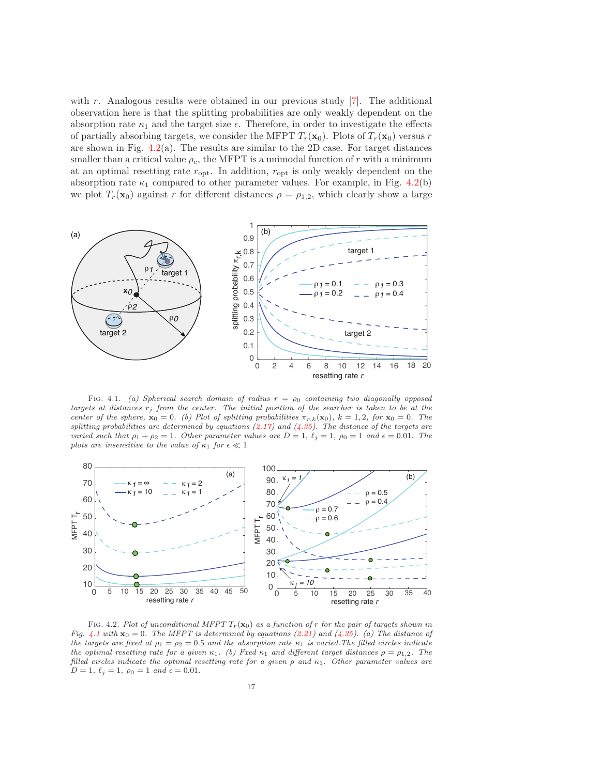with r. Analogous results were obtained in our previous study  $[7]$ . The additional observation here is that the splitting probabilities are only weakly dependent on the absorption rate  $\kappa_1$  and the target size  $\epsilon$ . Therefore, in order to investigate the effects of partially absorbing targets, we consider the MFPT  $T_r(\mathbf{x}_0)$ . Plots of  $T_r(\mathbf{x}_0)$  versus r are shown in Fig.  $4.2(a)$  $4.2(a)$ . The results are similar to the 2D case. For target distances smaller than a critical value  $\rho_c$ , the MFPT is a unimodal function of r with a minimum at an optimal resetting rate  $r_{\rm opt}$ . In addition,  $r_{\rm opt}$  is only weakly dependent on the absorption rate  $\kappa_1$  compared to other parameter values. For example, in Fig. [4.2\(](#page-16-1)b) we plot  $T_r(\mathbf{x}_0)$  against r for different distances  $\rho = \rho_{1,2}$ , which clearly show a large



<span id="page-16-0"></span>FIG. 4.1. (a) Spherical search domain of radius  $r = \rho_0$  containing two diagonally opposed targets at distances  $r_j$  from the center. The initial position of the searcher is taken to be at the center of the sphere,  $\mathbf{x}_0 = 0$ . (b) Plot of splitting probabilities  $\pi_{r,k}(\mathbf{x}_0)$ ,  $k = 1, 2$ , for  $\mathbf{x}_0 = 0$ . The splitting probabilities are determined by equations  $(2.17)$  and  $(4.35)$ . The distance of the targets are varied such that  $\rho_1 + \rho_2 = 1$ . Other parameter values are  $D = 1$ ,  $\ell_j = 1$ ,  $\rho_0 = 1$  and  $\epsilon = 0.01$ . The plots are insensitive to the value of  $\kappa_1$  for  $\epsilon \ll 1$ 



<span id="page-16-1"></span>FIG. 4.2. Plot of unconditional MFPT  $T_r(\mathbf{x}_0)$  as a function of r for the pair of targets shown in Fig. [4.1](#page-16-0) with  $\mathbf{x}_0 = 0$ . The MFPT is determined by equations [\(2.21\)](#page-5-0) and [\(4.35\)](#page-14-0). (a) The distance of the targets are fixed at  $\rho_1 = \rho_2 = 0.5$  and the absorption rate  $\kappa_1$  is varied. The filled circles indicate the optimal resetting rate for a given  $\kappa_1$ . (b) Fxed  $\kappa_1$  and different target distances  $\rho = \rho_{1,2}$ . The filled circles indicate the optimal resetting rate for a given  $\rho$  and  $\kappa_1$ . Other parameter values are  $D = 1, \ell_j = 1, \rho_0 = 1 \text{ and } \epsilon = 0.01.$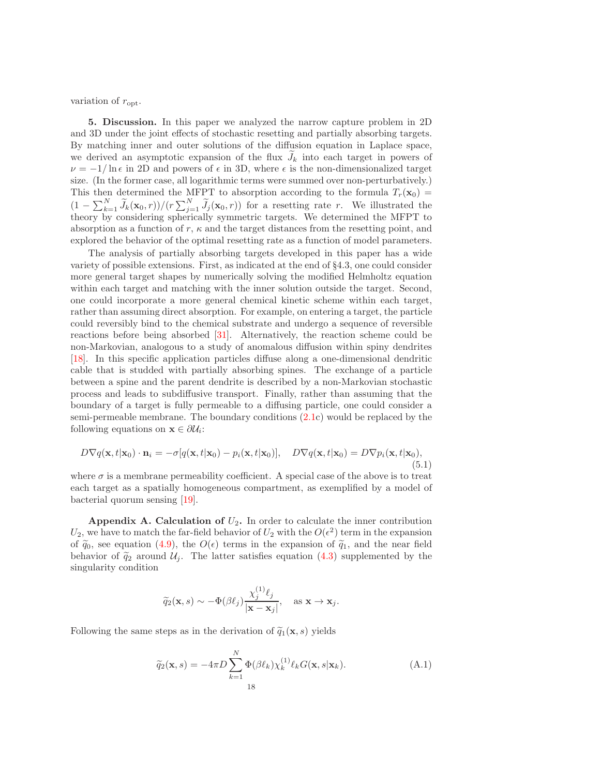variation of  $r_{\rm opt}$ .

5. Discussion. In this paper we analyzed the narrow capture problem in 2D and 3D under the joint effects of stochastic resetting and partially absorbing targets. By matching inner and outer solutions of the diffusion equation in Laplace space, we derived an asymptotic expansion of the flux  $J_k$  into each target in powers of  $\nu = -1/\ln \epsilon$  in 2D and powers of  $\epsilon$  in 3D, where  $\epsilon$  is the non-dimensionalized target size. (In the former case, all logarithmic terms were summed over non-perturbatively.) This then determined the MFPT to absorption according to the formula  $T_r(\mathbf{x}_0) =$  $(1 - \sum_{k=1}^{N} \widetilde{J}_k(\mathbf{x}_0, r))/(r \sum_{j=1}^{N} \widetilde{J}_j(\mathbf{x}_0, r))$  for a resetting rate r. We illustrated the theory by considering spherically symmetric targets. We determined the MFPT to absorption as a function of r,  $\kappa$  and the target distances from the resetting point, and explored the behavior of the optimal resetting rate as a function of model parameters.

The analysis of partially absorbing targets developed in this paper has a wide variety of possible extensions. First, as indicated at the end of §4.3, one could consider more general target shapes by numerically solving the modified Helmholtz equation within each target and matching with the inner solution outside the target. Second, one could incorporate a more general chemical kinetic scheme within each target, rather than assuming direct absorption. For example, on entering a target, the particle could reversibly bind to the chemical substrate and undergo a sequence of reversible reactions before being absorbed [\[31\]](#page-20-6). Alternatively, the reaction scheme could be non-Markovian, analogous to a study of anomalous diffusion within spiny dendrites [\[18\]](#page-19-23). In this specific application particles diffuse along a one-dimensional dendritic cable that is studded with partially absorbing spines. The exchange of a particle between a spine and the parent dendrite is described by a non-Markovian stochastic process and leads to subdiffusive transport. Finally, rather than assuming that the boundary of a target is fully permeable to a diffusing particle, one could consider a semi-permeable membrane. The boundary conditions [\(2.1c](#page-2-0)) would be replaced by the following equations on  $\mathbf{x} \in \partial \mathcal{U}_i$ :

$$
D\nabla q(\mathbf{x},t|\mathbf{x}_0)\cdot\mathbf{n}_i = -\sigma[q(\mathbf{x},t|\mathbf{x}_0) - p_i(\mathbf{x},t|\mathbf{x}_0)], \quad D\nabla q(\mathbf{x},t|\mathbf{x}_0) = D\nabla p_i(\mathbf{x},t|\mathbf{x}_0),
$$
\n(5.1)

where  $\sigma$  is a membrane permeability coefficient. A special case of the above is to treat each target as a spatially homogeneous compartment, as exemplified by a model of bacterial quorum sensing [\[19\]](#page-19-24).

Appendix A. Calculation of  $U_2$ . In order to calculate the inner contribution  $U_2$ , we have to match the far-field behavior of  $U_2$  with the  $O(\epsilon^2)$  term in the expansion of  $\tilde{q}_0$ , see equation [\(4.9\)](#page-11-0), the  $O(\epsilon)$  terms in the expansion of  $\tilde{q}_1$ , and the near field behavior of  $\tilde{q}_2$  around  $\mathcal{U}_j$ . The latter satisfies equation [\(4.3\)](#page-10-1) supplemented by the singularity condition

$$
\widetilde{q}_2(\mathbf{x},s) \sim -\Phi(\beta \ell_j) \frac{\chi_j^{(1)} \ell_j}{|\mathbf{x} - \mathbf{x}_j|}, \text{ as } \mathbf{x} \to \mathbf{x}_j.
$$

Following the same steps as in the derivation of  $\tilde{q}_1(\mathbf{x}, s)$  yields

$$
\widetilde{q}_2(\mathbf{x}, s) = -4\pi D \sum_{k=1}^{N} \Phi(\beta \ell_k) \chi_k^{(1)} \ell_k G(\mathbf{x}, s | \mathbf{x}_k).
$$
\n(A.1)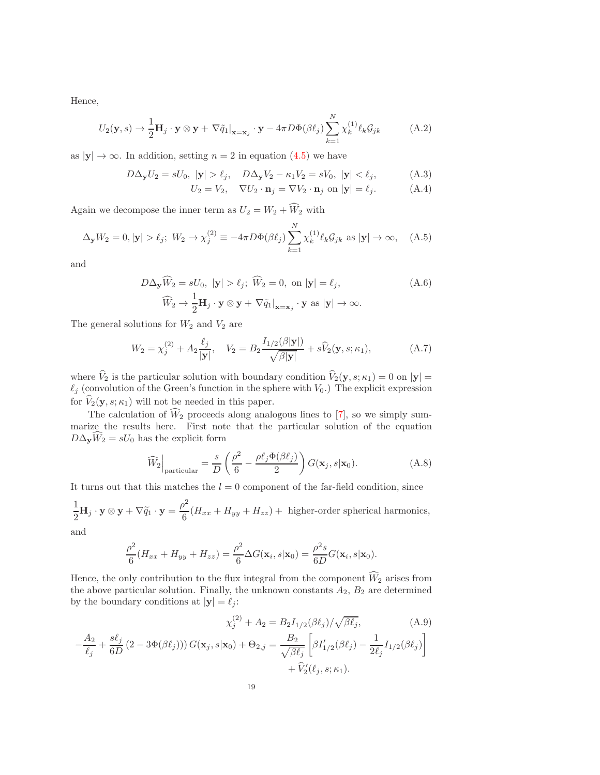Hence,

$$
U_2(\mathbf{y}, s) \to \frac{1}{2} \mathbf{H}_j \cdot \mathbf{y} \otimes \mathbf{y} + \nabla \tilde{q}_1 \big|_{\mathbf{x} = \mathbf{x}_j} \cdot \mathbf{y} - 4\pi D \Phi(\beta \ell_j) \sum_{k=1}^N \chi_k^{(1)} \ell_k \mathcal{G}_{jk}
$$
 (A.2)

as  $|y| \to \infty$ . In addition, setting  $n = 2$  in equation [\(4.5\)](#page-10-0) we have

$$
D\Delta_{\mathbf{y}}U_2 = sU_0, \ |\mathbf{y}| > \ell_j, \quad D\Delta_{\mathbf{y}}V_2 - \kappa_1 V_2 = sV_0, \ |\mathbf{y}| < \ell_j,
$$
 (A.3)

$$
U_2 = V_2, \quad \nabla U_2 \cdot \mathbf{n}_j = \nabla V_2 \cdot \mathbf{n}_j \text{ on } |\mathbf{y}| = \ell_j. \tag{A.4}
$$

Again we decompose the inner term as  $U_2 = W_2 + \widehat{W}_2$  with

$$
\Delta_{\mathbf{y}} W_2 = 0, |\mathbf{y}| > \ell_j; \ W_2 \to \chi_j^{(2)} \equiv -4\pi D \Phi(\beta \ell_j) \sum_{k=1}^N \chi_k^{(1)} \ell_k \mathcal{G}_{jk} \text{ as } |\mathbf{y}| \to \infty, \quad \text{(A.5)}
$$

and

$$
D\Delta_{\mathbf{y}}\widehat{W}_{2} = sU_{0}, \ |\mathbf{y}| > \ell_{j}; \ \widehat{W}_{2} = 0, \text{ on } |\mathbf{y}| = \ell_{j},
$$
  

$$
\widehat{W}_{2} \rightarrow \frac{1}{2}\mathbf{H}_{j} \cdot \mathbf{y} \otimes \mathbf{y} + \nabla \tilde{q}_{1}|_{\mathbf{x} = \mathbf{x}_{j}} \cdot \mathbf{y} \text{ as } |\mathbf{y}| \rightarrow \infty.
$$
 (A.6)

The general solutions for  $W_2$  and  $V_2$  are

$$
W_2 = \chi_j^{(2)} + A_2 \frac{\ell_j}{|\mathbf{y}|}, \quad V_2 = B_2 \frac{I_{1/2}(\beta|\mathbf{y}|)}{\sqrt{\beta|\mathbf{y}|}} + s\widehat{V}_2(\mathbf{y}, s; \kappa_1), \tag{A.7}
$$

where  $V_2$  is the particular solution with boundary condition  $V_2(\mathbf{y}, s; \kappa_1) = 0$  on  $|\mathbf{y}| =$  $\ell_j$  (convolution of the Green's function in the sphere with  $V_0$ .) The explicit expression for  $\widehat{V}_2(\mathbf{y}, s; \kappa_1)$  will not be needed in this paper.

The calculation of  $\widehat{W}_2$  proceeds along analogous lines to [\[7\]](#page-19-17), so we simply summarize the results here. First note that the particular solution of the equation  $D\Delta_{\mathbf{y}}\widehat{W}_2 = sU_0$  has the explicit form

$$
\widehat{W}_2\Big|_{\text{particular}} = \frac{s}{D} \left(\frac{\rho^2}{6} - \frac{\rho \ell_j \Phi(\beta \ell_j)}{2}\right) G(\mathbf{x}_j, s | \mathbf{x}_0). \tag{A.8}
$$

It turns out that this matches the  $l = 0$  component of the far-field condition, since

$$
\frac{1}{2}\mathbf{H}_j \cdot \mathbf{y} \otimes \mathbf{y} + \nabla \widetilde{q}_1 \cdot \mathbf{y} = \frac{\rho^2}{6}(H_{xx} + H_{yy} + H_{zz}) + \text{ higher-order spherical harmonics},
$$

and

−  $A_2$  $\ell_j$ 

$$
\frac{\rho^2}{6}(H_{xx} + H_{yy} + H_{zz}) = \frac{\rho^2}{6}\Delta G(\mathbf{x}_i, s|\mathbf{x}_0) = \frac{\rho^2 s}{6D}G(\mathbf{x}_i, s|\mathbf{x}_0).
$$

Hence, the only contribution to the flux integral from the component  $\widehat{W}_2$  arises from the above particular solution. Finally, the unknown constants  $A_2$ ,  $B_2$  are determined by the boundary conditions at  $|\mathbf{y}| = \ell_j$ :

$$
\chi_j^{(2)} + A_2 = B_2 I_{1/2}(\beta \ell_j) / \sqrt{\beta \ell_j},
$$
\n
$$
+ \frac{s \ell_j}{6D} (2 - 3\Phi(\beta \ell_j)) (G(\mathbf{x}_j, s | \mathbf{x}_0) + \Theta_{2,j} = \frac{B_2}{\sqrt{\beta \ell_j}} \left[ \beta I'_{1/2}(\beta \ell_j) - \frac{1}{2\ell_j} I_{1/2}(\beta \ell_j) \right] + \hat{V}_2'(\ell_j, s; \kappa_1).
$$
\n(A.9)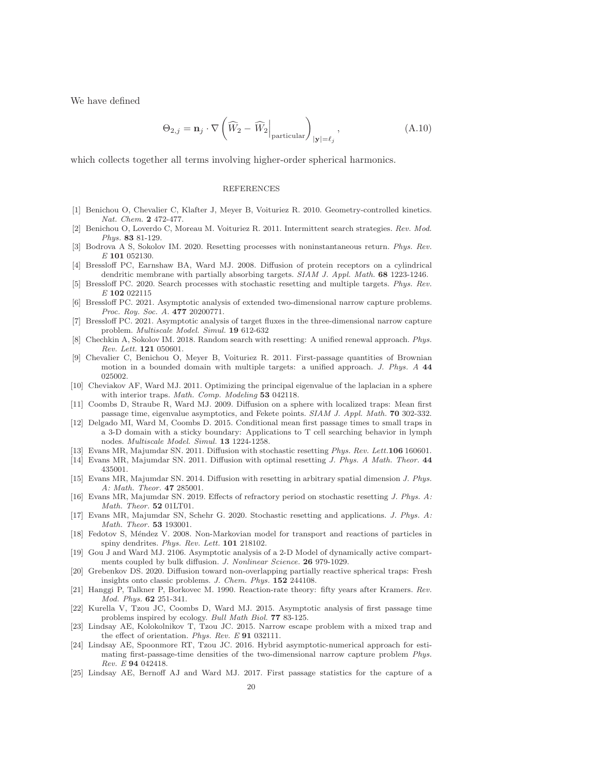We have defined

$$
\Theta_{2,j} = \mathbf{n}_j \cdot \nabla \left( \widehat{W}_2 - \widehat{W}_2 \Big|_{\text{particular}} \right)_{|\mathbf{y}| = \ell_j}, \tag{A.10}
$$

which collects together all terms involving higher-order spherical harmonics.

## REFERENCES

- <span id="page-19-11"></span><span id="page-19-10"></span>[1] Benichou O, Chevalier C, Klafter J, Meyer B, Voituriez R. 2010. Geometry-controlled kinetics. Nat. Chem. 2 472-477.
- [2] Benichou O, Loverdo C, Moreau M. Voituriez R. 2011. Intermittent search strategies. Rev. Mod. Phys. 83 81-129.
- <span id="page-19-20"></span><span id="page-19-1"></span>[3] Bodrova A S, Sokolov IM. 2020. Resetting processes with noninstantaneous return. Phys. Rev. E 101 052130.
- [4] Bressloff PC, Earnshaw BA, Ward MJ. 2008. Diffusion of protein receptors on a cylindrical dendritic membrane with partially absorbing targets. SIAM J. Appl. Math. 68 1223-1246.
- <span id="page-19-21"></span>[5] Bressloff PC. 2020. Search processes with stochastic resetting and multiple targets. Phys. Rev. E 102 022115
- <span id="page-19-16"></span>[6] Bressloff PC. 2021. Asymptotic analysis of extended two-dimensional narrow capture problems. Proc. Roy. Soc. A. 477 20200771.
- <span id="page-19-17"></span>[7] Bressloff PC. 2021. Asymptotic analysis of target fluxes in the three-dimensional narrow capture problem. Multiscale Model. Simul. 19 612-632
- <span id="page-19-18"></span><span id="page-19-4"></span>[8] Chechkin A, Sokolov IM. 2018. Random search with resetting: A unified renewal approach. Phys. Rev. Lett. 121 050601.
- [9] Chevalier C, Benichou O, Meyer B, Voituriez R. 2011. First-passage quantities of Brownian motion in a bounded domain with multiple targets: a unified approach. J. Phys. A 44 025002.
- <span id="page-19-3"></span>[10] Cheviakov AF, Ward MJ. 2011. Optimizing the principal eigenvalue of the laplacian in a sphere with interior traps. Math. Comp. Modeling 53 042118.
- <span id="page-19-2"></span>[11] Coombs D, Straube R, Ward MJ. 2009. Diffusion on a sphere with localized traps: Mean first passage time, eigenvalue asymptotics, and Fekete points. SIAM J. Appl. Math. 70 302-332.
- <span id="page-19-5"></span>[12] Delgado MI, Ward M, Coombs D. 2015. Conditional mean first passage times to small traps in a 3-D domain with a sticky boundary: Applications to T cell searching behavior in lymph nodes. Multiscale Model. Simul. 13 1224-1258.
- <span id="page-19-13"></span><span id="page-19-12"></span>[13] Evans MR, Majumdar SN. 2011. Diffusion with stochastic resetting Phys. Rev. Lett.106 160601.
- <span id="page-19-14"></span>[14] Evans MR, Majumdar SN. 2011. Diffusion with optimal resetting J. Phys. A Math. Theor. 44 435001.
- [15] Evans MR, Majumdar SN. 2014. Diffusion with resetting in arbitrary spatial dimension J. Phys. A: Math. Theor. 47 285001.
- <span id="page-19-19"></span><span id="page-19-15"></span>[16] Evans MR, Majumdar SN. 2019. Effects of refractory period on stochastic resetting J. Phys. A: Math. Theor. 52 01LT01.
- <span id="page-19-23"></span>[17] Evans MR, Majumdar SN, Schehr G. 2020. Stochastic resetting and applications. J. Phys. A: Math. Theor. 53 193001.
- [18] Fedotov S, Méndez V. 2008. Non-Markovian model for transport and reactions of particles in spiny dendrites. Phys. Rev. Lett. 101 218102.
- <span id="page-19-24"></span>[19] Gou J and Ward MJ. 2106. Asymptotic analysis of a 2-D Model of dynamically active compartments coupled by bulk diffusion. J. Nonlinear Science. **26** 979-1029.
- <span id="page-19-9"></span>[20] Grebenkov DS. 2020. Diffusion toward non-overlapping partially reactive spherical traps: Fresh insights onto classic problems. J. Chem. Phys. 152 244108.
- <span id="page-19-0"></span>[21] Hanggi P, Talkner P, Borkovec M. 1990. Reaction-rate theory: fifty years after Kramers. Rev. Mod. Phys. 62 251-341.
- <span id="page-19-6"></span>[22] Kurella V, Tzou JC, Coombs D, Ward MJ. 2015. Asymptotic analysis of first passage time problems inspired by ecology. Bull Math Biol. 77 83-125.
- <span id="page-19-7"></span>[23] Lindsay AE, Kolokolnikov T, Tzou JC. 2015. Narrow escape problem with a mixed trap and the effect of orientation. Phys. Rev. E 91 032111.
- <span id="page-19-22"></span>[24] Lindsay AE, Spoonmore RT, Tzou JC. 2016. Hybrid asymptotic-numerical approach for estimating first-passage-time densities of the two-dimensional narrow capture problem Phys. Rev. E 94 042418.
- <span id="page-19-8"></span>[25] Lindsay AE, Bernoff AJ and Ward MJ. 2017. First passage statistics for the capture of a